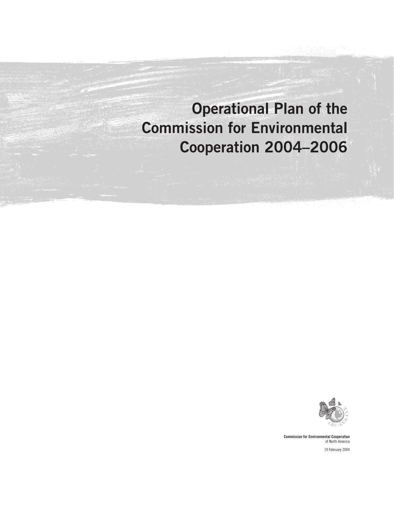# Operational Plan of the Commission for Environmental Cooperation 2004–2006



Commission for Environmental Cooperation of North America 19 February 2004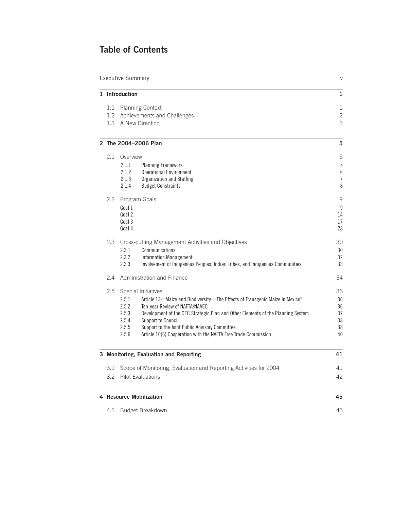# Table of Contents

| <b>Executive Summary</b><br>V                                                                               |                                                                                                                                                                                                                                                                                                                                                                                                                            |                                        |  |  |  |  |
|-------------------------------------------------------------------------------------------------------------|----------------------------------------------------------------------------------------------------------------------------------------------------------------------------------------------------------------------------------------------------------------------------------------------------------------------------------------------------------------------------------------------------------------------------|----------------------------------------|--|--|--|--|
| 1 Introduction                                                                                              |                                                                                                                                                                                                                                                                                                                                                                                                                            |                                        |  |  |  |  |
| 1.1<br><b>Planning Context</b><br>1.2 Achievements and Challenges<br>1.3 A New Direction                    |                                                                                                                                                                                                                                                                                                                                                                                                                            |                                        |  |  |  |  |
|                                                                                                             | 2 The 2004-2006 Plan                                                                                                                                                                                                                                                                                                                                                                                                       | 5                                      |  |  |  |  |
| 2.1                                                                                                         | Overview<br>2.1.1<br><b>Planning Framework</b><br><b>Operational Environment</b><br>2.1.2<br>2.1.3<br>Organization and Staffing<br>2.1.4<br><b>Budget Constraints</b>                                                                                                                                                                                                                                                      | 5<br>$5\,$<br>6<br>$\overline{1}$<br>8 |  |  |  |  |
| 2.2                                                                                                         | Program Goals<br>Goal 1<br>Goal 2<br>Goal 3<br>Goal 4                                                                                                                                                                                                                                                                                                                                                                      | 9<br>9<br>14<br>17<br>28               |  |  |  |  |
| 2.3                                                                                                         | Cross-cutting Management Activities and Objectives<br>2.3.1<br>Communications<br>2.3.2<br><b>Information Management</b><br>2.3.3<br>Involvement of Indigenous Peoples, Indian Tribes, and Indigenous Communities                                                                                                                                                                                                           | 30<br>30<br>32<br>33                   |  |  |  |  |
| 2.4                                                                                                         | Administration and Finance                                                                                                                                                                                                                                                                                                                                                                                                 | 34                                     |  |  |  |  |
| 2.5                                                                                                         | Special Initiatives<br>2.5.1<br>Article 13: "Maize and Biodiversity-The Effects of Transgenic Maize in Mexico"<br>2.5.2<br>Ten-year Review of NAFTA/NAAEC<br>2.5.3<br>Development of the CEC Strategic Plan and Other Elements of the Planning System<br>2.5.4<br>Support to Council<br>2.5.5<br>Support to the Joint Public Advisory Committee<br>2.5.6<br>Article 10(6) Cooperation with the NAFTA Free Trade Commission | 36<br>36<br>36<br>37<br>38<br>38<br>40 |  |  |  |  |
|                                                                                                             | 3 Monitoring, Evaluation and Reporting                                                                                                                                                                                                                                                                                                                                                                                     | 41                                     |  |  |  |  |
| Scope of Monitoring, Evaluation and Reporting Activities for 2004<br>3.1<br><b>Pilot Evaluations</b><br>3.2 |                                                                                                                                                                                                                                                                                                                                                                                                                            |                                        |  |  |  |  |
|                                                                                                             | 4 Resource Mobilization                                                                                                                                                                                                                                                                                                                                                                                                    | 45                                     |  |  |  |  |
| Budget Breakdown<br>4.1                                                                                     |                                                                                                                                                                                                                                                                                                                                                                                                                            |                                        |  |  |  |  |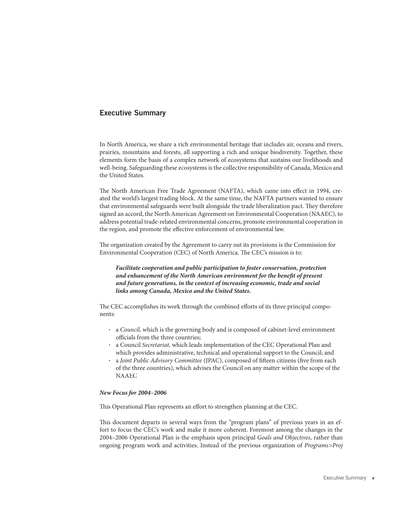# Executive Summary

In North America, we share a rich environmental heritage that includes air, oceans and rivers, prairies, mountains and forests, all supporting a rich and unique biodiversity. Together, these elements form the basis of a complex network of ecosystems that sustains our livelihoods and well-being. Safeguarding these ecosystems is the collective responsibility of Canada, Mexico and the United States.

The North American Free Trade Agreement (NAFTA), which came into effect in 1994, created the world's largest trading block. At the same time, the NAFTA partners wanted to ensure that environmental safeguards were built alongside the trade liberalization pact. They therefore signed an accord, the North American Agreement on Environmental Cooperation (NAAEC), to address potential trade-related environmental concerns, promote environmental cooperation in the region, and promote the effective enforcement of environmental law.

The organization created by the Agreement to carry out its provisions is the Commission for Environmental Cooperation (CEC) of North America. The CEC's mission is to:

*Facilitate cooperation and public participation to foster conservation, protection*  and enhancement of the North American environment for the benefit of present *and future generations, in the context of increasing economic, trade and social links among Canada, Mexico and the United States***.**

The CEC accomplishes its work through the combined efforts of its three principal components:

- a *Council,* which is the governing body and is composed of cabinet-level environment officials from the three countries;
- a Council *Secretariat,* which leads implementation of the CEC Operational Plan and which provides administrative, technical and operational support to the Council; and
- a *Joint Public Advisory Committee* (JPAC), composed of fifteen citizens (five from each of the three countries), which advises the Council on any matter within the scope of the NAAEC

#### *New Focus for 2004–2006*

This Operational Plan represents an effort to strengthen planning at the CEC.

This document departs in several ways from the "program plans" of previous years in an effort to focus the CEC's work and make it more coherent. Foremost among the changes in the 2004–2006 Operational Plan is the emphasis upon principal *Goals and Objectives*, rather than ongoing program work and activities. Instead of the previous organization of *Programs>Proj*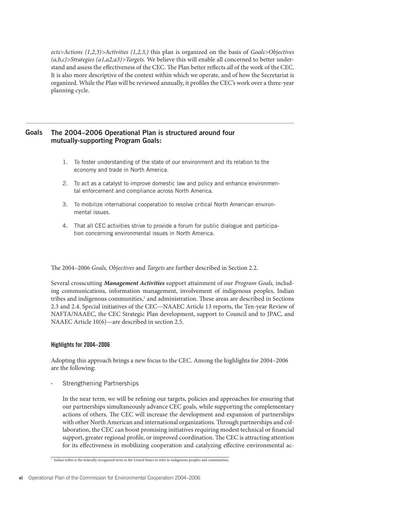*ects>Actions (1,2,3)>Activities (1,2,3,)* this plan is organized on the basis of *Goals>Objectives (a,b,c)>Strategies (a1,a2,a3)>Targets.* We believe this will enable all concerned to better understand and assess the effectiveness of the CEC. The Plan better reflects all of the work of the CEC. It is also more descriptive of the context within which we operate, and of how the Secretariat is organized. While the Plan will be reviewed annually, it profiles the CEC's work over a three-year planning cycle.

#### The 2004–2006 Operational Plan is structured around four mutually-supporting Program Goals: **Goals**

- 1. To foster understanding of the state of our environment and its relation to the economy and trade in North America.
- 2. To act as a catalyst to improve domestic law and policy and enhance environmental enforcement and compliance across North America.
- 3. To mobilize international cooperation to resolve critical North American environmental issues.
- 4. That all CEC activities strive to provide a forum for public dialogue and participation concerning environmental issues in North America.

The 2004–2006 *Goals, Objectives* and *Targets* are further described in Section 2.2.

Several crosscutting *Management Activities* support attainment of our *Program Goals,* including communications, information management, involvement of indigenous peoples, Indian tribes and indigenous communities,<sup>1</sup> and administration. These areas are described in Sections 2.3 and 2.4. Special initiatives of the CEC—NAAEC Article 13 reports, the Ten-year Review of NAFTA/NAAEC, the CEC Strategic Plan development, support to Council and to JPAC, and NAAEC Article 10(6)—are described in section 2.5.

## Highlights for 2004–2006

Adopting this approach brings a new focus to the CEC. Among the highlights for 2004–2006 are the following:

• Strengthening Partnerships

In the near term, we will be refining our targets, policies and approaches for ensuring that our partnerships simultaneously advance CEC goals, while supporting the complementary actions of others. The CEC will increase the development and expansion of partnerships with other North American and international organizations. Through partnerships and collaboration, the CEC can boost promising initiatives requiring modest technical or financial support, greater regional profile, or improved coordination. The CEC is attracting attention for its effectiveness in mobilizing cooperation and catalyzing effective environmental ac-

<sup>1</sup> Indian tribes is the federally recognized term in the United States to refer to indigenous peoples and communities.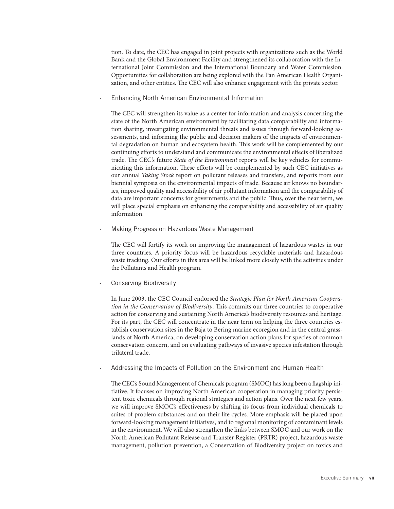tion. To date, the CEC has engaged in joint projects with organizations such as the World Bank and the Global Environment Facility and strengthened its collaboration with the International Joint Commission and the International Boundary and Water Commission. Opportunities for collaboration are being explored with the Pan American Health Organization, and other entities. The CEC will also enhance engagement with the private sector.

• Enhancing North American Environmental Information

The CEC will strengthen its value as a center for information and analysis concerning the state of the North American environment by facilitating data comparability and information sharing, investigating environmental threats and issues through forward-looking assessments, and informing the public and decision makers of the impacts of environmental degradation on human and ecosystem health. This work will be complemented by our continuing efforts to understand and communicate the environmental effects of liberalized trade. The CEC's future *State of the Environment* reports will be key vehicles for communicating this information. These efforts will be complemented by such CEC initiatives as our annual *Taking Stock* report on pollutant releases and transfers, and reports from our biennial symposia on the environmental impacts of trade. Because air knows no boundaries, improved quality and accessibility of air pollutant information and the comparability of data are important concerns for governments and the public. Thus, over the near term, we will place special emphasis on enhancing the comparability and accessibility of air quality information.

• Making Progress on Hazardous Waste Management

The CEC will fortify its work on improving the management of hazardous wastes in our three countries. A priority focus will be hazardous recyclable materials and hazardous waste tracking. Our efforts in this area will be linked more closely with the activities under the Pollutants and Health program.

Conserving Biodiversity

In June 2003, the CEC Council endorsed the *Strategic Plan for North American Cooperation in the Conservation of Biodiversity*. This commits our three countries to cooperative action for conserving and sustaining North America's biodiversity resources and heritage. For its part, the CEC will concentrate in the near term on helping the three countries establish conservation sites in the Baja to Bering marine ecoregion and in the central grasslands of North America, on developing conservation action plans for species of common conservation concern, and on evaluating pathways of invasive species infestation through trilateral trade.

• Addressing the Impacts of Pollution on the Environment and Human Health

The CEC's Sound Management of Chemicals program (SMOC) has long been a flagship initiative. It focuses on improving North American cooperation in managing priority persistent toxic chemicals through regional strategies and action plans. Over the next few years, we will improve SMOC's effectiveness by shifting its focus from individual chemicals to suites of problem substances and on their life cycles. More emphasis will be placed upon forward-looking management initiatives, and to regional monitoring of contaminant levels in the environment. We will also strengthen the links between SMOC and our work on the North American Pollutant Release and Transfer Register (PRTR) project, hazardous waste management, pollution prevention, a Conservation of Biodiversity project on toxics and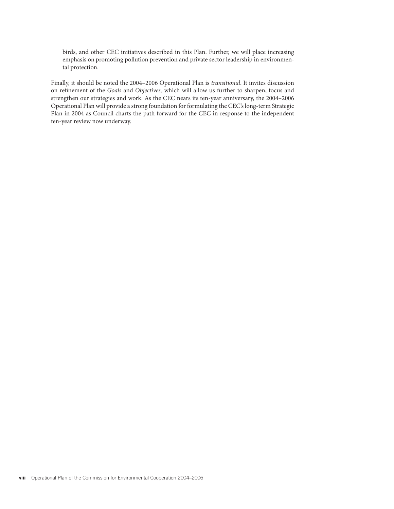birds, and other CEC initiatives described in this Plan. Further, we will place increasing emphasis on promoting pollution prevention and private sector leadership in environmental protection.

Finally, it should be noted the 2004–2006 Operational Plan is *transitional*. It invites discussion on refinement of the *Goals* and *Objectives*, which will allow us further to sharpen, focus and strengthen our strategies and work. As the CEC nears its ten-year anniversary, the 2004–2006 Operational Plan will provide a strong foundation for formulating the CEC's long-term Strategic Plan in 2004 as Council charts the path forward for the CEC in response to the independent ten-year review now underway.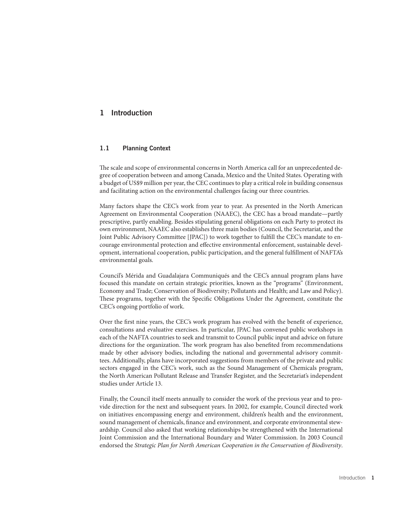## 1 Introduction

## 1.1 Planning Context

The scale and scope of environmental concerns in North America call for an unprecedented degree of cooperation between and among Canada, Mexico and the United States. Operating with a budget of US\$9 million per year, the CEC continues to play a critical role in building consensus and facilitating action on the environmental challenges facing our three countries.

Many factors shape the CEC's work from year to year. As presented in the North American Agreement on Environmental Cooperation (NAAEC), the CEC has a broad mandate—partly prescriptive, partly enabling. Besides stipulating general obligations on each Party to protect its own environment, NAAEC also establishes three main bodies (Council, the Secretariat, and the Joint Public Advisory Committee [JPAC]) to work together to fulfill the CEC's mandate to encourage environmental protection and effective environmental enforcement, sustainable development, international cooperation, public participation, and the general fulfillment of NAFTA's environmental goals.

Council's Mérida and Guadalajara Communiqués and the CEC's annual program plans have focused this mandate on certain strategic priorities, known as the "programs" (Environment, Economy and Trade; Conservation of Biodiversity; Pollutants and Health; and Law and Policy). These programs, together with the Specific Obligations Under the Agreement, constitute the CEC's ongoing portfolio of work.

Over the first nine years, the CEC's work program has evolved with the benefit of experience, consultations and evaluative exercises. In particular, JPAC has convened public workshops in each of the NAFTA countries to seek and transmit to Council public input and advice on future directions for the organization. The work program has also benefited from recommendations made by other advisory bodies, including the national and governmental advisory committees. Additionally, plans have incorporated suggestions from members of the private and public sectors engaged in the CEC's work, such as the Sound Management of Chemicals program, the North American Pollutant Release and Transfer Register, and the Secretariat's independent studies under Article 13.

Finally, the Council itself meets annually to consider the work of the previous year and to provide direction for the next and subsequent years. In 2002, for example, Council directed work on initiatives encompassing energy and environment, children's health and the environment, sound management of chemicals, finance and environment, and corporate environmental stewardship. Council also asked that working relationships be strengthened with the International Joint Commission and the International Boundary and Water Commission. In 2003 Council endorsed the *Strategic Plan for North American Cooperation in the Conservation of Biodiversity*.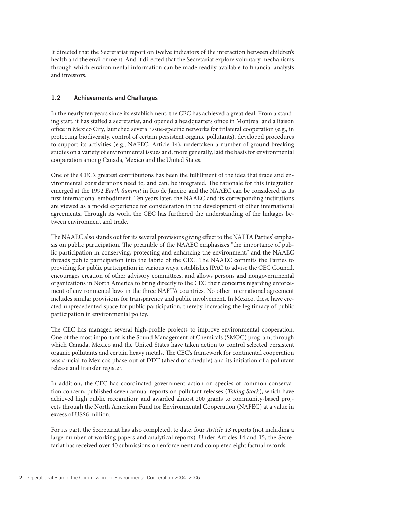It directed that the Secretariat report on twelve indicators of the interaction between children's health and the environment. And it directed that the Secretariat explore voluntary mechanisms through which environmental information can be made readily available to financial analysts and investors.

## 1.2 Achievements and Challenges

In the nearly ten years since its establishment, the CEC has achieved a great deal. From a standing start, it has staffed a secretariat, and opened a headquarters office in Montreal and a liaison office in Mexico City, launched several issue-specific networks for trilateral cooperation (e.g., in protecting biodiversity, control of certain persistent organic pollutants), developed procedures to support its activities (e.g., NAFEC, Article 14), undertaken a number of ground-breaking studies on a variety of environmental issues and, more generally, laid the basis for environmental cooperation among Canada, Mexico and the United States.

One of the CEC's greatest contributions has been the fulfillment of the idea that trade and environmental considerations need to, and can, be integrated. The rationale for this integration emerged at the 1992 *Earth Summit* in Rio de Janeiro and the NAAEC can be considered as its first international embodiment. Ten years later, the NAAEC and its corresponding institutions are viewed as a model experience for consideration in the development of other international agreements. Through its work, the CEC has furthered the understanding of the linkages between environment and trade.

The NAAEC also stands out for its several provisions giving effect to the NAFTA Parties' emphasis on public participation. The preamble of the NAAEC emphasizes "the importance of public participation in conserving, protecting and enhancing the environment," and the NAAEC threads public participation into the fabric of the CEC. The NAAEC commits the Parties to providing for public participation in various ways, establishes JPAC to advise the CEC Council, encourages creation of other advisory committees, and allows persons and nongovernmental organizations in North America to bring directly to the CEC their concerns regarding enforcement of environmental laws in the three NAFTA countries. No other international agreement includes similar provisions for transparency and public involvement. In Mexico, these have created unprecedented space for public participation, thereby increasing the legitimacy of public participation in environmental policy.

The CEC has managed several high-profile projects to improve environmental cooperation. One of the most important is the Sound Management of Chemicals (SMOC) program, through which Canada, Mexico and the United States have taken action to control selected persistent organic pollutants and certain heavy metals. The CEC's framework for continental cooperation was crucial to Mexico's phase-out of DDT (ahead of schedule) and its initiation of a pollutant release and transfer register.

In addition, the CEC has coordinated government action on species of common conservation concern; published seven annual reports on pollutant releases (*Taking Stock*), which have achieved high public recognition; and awarded almost 200 grants to community-based projects through the North American Fund for Environmental Cooperation (NAFEC) at a value in excess of US\$6 million.

For its part, the Secretariat has also completed, to date, four *Article 13* reports (not including a large number of working papers and analytical reports). Under Articles 14 and 15, the Secretariat has received over 40 submissions on enforcement and completed eight factual records.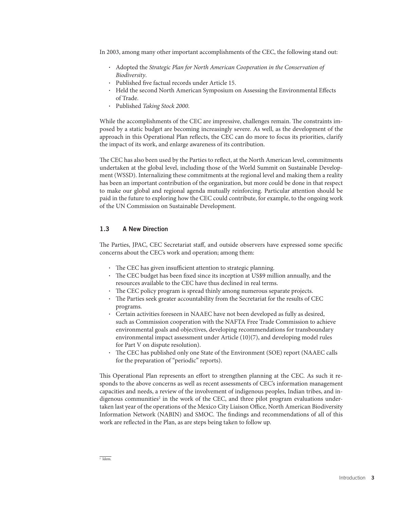In 2003, among many other important accomplishments of the CEC, the following stand out:

- Adopted the *Strategic Plan for North American Cooperation in the Conservation of Biodiversity*.
- Published five factual records under Article 15.
- Held the second North American Symposium on Assessing the Environmental Effects of Trade.
- Published *Taking Stock 2000*.

While the accomplishments of the CEC are impressive, challenges remain. The constraints imposed by a static budget are becoming increasingly severe. As well, as the development of the approach in this Operational Plan reflects, the CEC can do more to focus its priorities, clarify the impact of its work, and enlarge awareness of its contribution.

The CEC has also been used by the Parties to reflect, at the North American level, commitments undertaken at the global level, including those of the World Summit on Sustainable Development (WSSD). Internalizing these commitments at the regional level and making them a reality has been an important contribution of the organization, but more could be done in that respect to make our global and regional agenda mutually reinforcing. Particular attention should be paid in the future to exploring how the CEC could contribute, for example, to the ongoing work of the UN Commission on Sustainable Development.

#### 1.3 A New Direction

The Parties, JPAC, CEC Secretariat staff, and outside observers have expressed some specific concerns about the CEC's work and operation; among them:

- The CEC has given insufficient attention to strategic planning.
- The CEC budget has been fixed since its inception at US\$9 million annually, and the resources available to the CEC have thus declined in real terms.
- The CEC policy program is spread thinly among numerous separate projects.
- The Parties seek greater accountability from the Secretariat for the results of CEC programs.
- Certain activities foreseen in NAAEC have not been developed as fully as desired, such as Commission cooperation with the NAFTA Free Trade Commission to achieve environmental goals and objectives, developing recommendations for transboundary environmental impact assessment under Article (10)(7), and developing model rules for Part V on dispute resolution).
- The CEC has published only one State of the Environment (SOE) report (NAAEC calls for the preparation of "periodic" reports).

This Operational Plan represents an effort to strengthen planning at the CEC. As such it responds to the above concerns as well as recent assessments of CEC's information management capacities and needs, a review of the involvement of indigenous peoples, Indian tribes, and indigenous communities<sup>2</sup> in the work of the CEC, and three pilot program evaluations undertaken last year of the operations of the Mexico City Liaison Office, North American Biodiversity Information Network (NABIN) and SMOC. The findings and recommendations of all of this work are reflected in the Plan, as are steps being taken to follow up.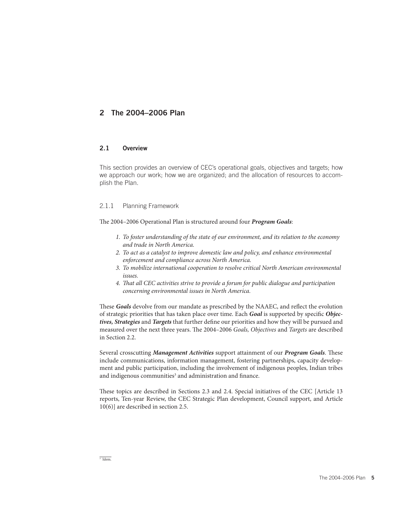# 2 The 2004–2006 Plan

## 2.1 Overview

This section provides an overview of CEC's operational goals, objectives and targets; how we approach our work; how we are organized; and the allocation of resources to accomplish the Plan.

## 2.1.1 Planning Framework

The 2004-2006 Operational Plan is structured around four *Program Goals*:

- *1. To foster understanding of the state of our environment, and its relation to the economy and trade in North America.*
- *2. To act as a catalyst to improve domestic law and policy, and enhance environmental enforcement and compliance across North America.*
- *3. To mobilize international cooperation to resolve critical North American environmental issues.*
- *4. Th at all CEC activities strive to provide a forum for public dialogue and participation concerning environmental issues in North America.*

These *Goals* devolve from our mandate as prescribed by the NAAEC, and reflect the evolution of strategic priorities that has taken place over time. Each *Goal* is supported by specifi c *Objec*tives, Strategies and *Targets* that further define our priorities and how they will be pursued and measured over the next three years. The 2004–2006 *Goals, Objectives* and *Targets* are described in Section 2.2.

Several crosscutting *Management Activities* support attainment of our *Program Goals*. These include communications, information management, fostering partnerships, capacity development and public participation, including the involvement of indigenous peoples, Indian tribes and indigenous communities<sup>3</sup> and administration and finance.

These topics are described in Sections 2.3 and 2.4. Special initiatives of the CEC [Article 13 reports, Ten-year Review, the CEC Strategic Plan development, Council support, and Article 10(6)] are described in section 2.5.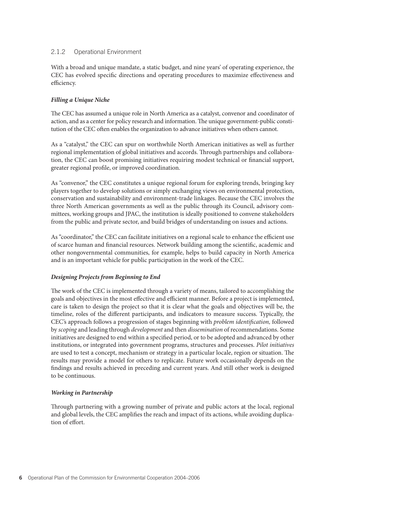## 2.1.2 Operational Environment

With a broad and unique mandate, a static budget, and nine years' of operating experience, the CEC has evolved specific directions and operating procedures to maximize effectiveness and efficiency.

## *Filling a Unique Niche*

The CEC has assumed a unique role in North America as a catalyst, convenor and coordinator of action, and as a center for policy research and information. The unique government-public constitution of the CEC often enables the organization to advance initiatives when others cannot.

As a "catalyst," the CEC can spur on worthwhile North American initiatives as well as further regional implementation of global initiatives and accords. Through partnerships and collaboration, the CEC can boost promising initiatives requiring modest technical or financial support, greater regional profile, or improved coordination.

As "convenor," the CEC constitutes a unique regional forum for exploring trends, bringing key players together to develop solutions or simply exchanging views on environmental protection, conservation and sustainability and environment-trade linkages. Because the CEC involves the three North American governments as well as the public through its Council, advisory committees, working groups and JPAC, the institution is ideally positioned to convene stakeholders from the public and private sector, and build bridges of understanding on issues and actions.

As "coordinator," the CEC can facilitate initiatives on a regional scale to enhance the efficient use of scarce human and financial resources. Network building among the scientific, academic and other nongovernmental communities, for example, helps to build capacity in North America and is an important vehicle for public participation in the work of the CEC.

## *Designing Projects from Beginning to End*

The work of the CEC is implemented through a variety of means, tailored to accomplishing the goals and objectives in the most effective and efficient manner. Before a project is implemented, care is taken to design the project so that it is clear what the goals and objectives will be, the timeline, roles of the different participants, and indicators to measure success. Typically, the CEC's approach follows a progression of stages beginning with *problem identifi cation,* followed by *scoping* and leading through *development* and then *dissemination* of recommendations. Some initiatives are designed to end within a specified period, or to be adopted and advanced by other institutions, or integrated into government programs, structures and processes. *Pilot initiatives* are used to test a concept, mechanism or strategy in a particular locale, region or situation. The results may provide a model for others to replicate. Future work occasionally depends on the findings and results achieved in preceding and current years. And still other work is designed to be continuous.

## *Working in Partnership*

Through partnering with a growing number of private and public actors at the local, regional and global levels, the CEC amplifies the reach and impact of its actions, while avoiding duplication of effort.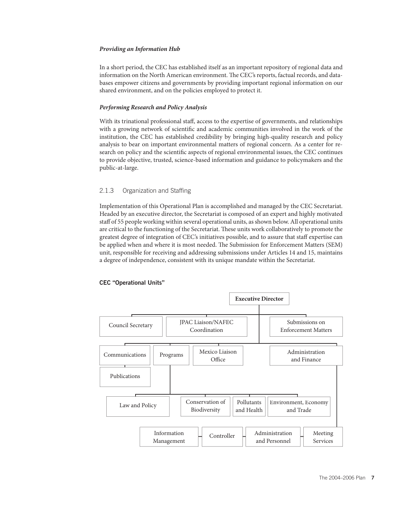#### *Providing an Information Hub*

In a short period, the CEC has established itself as an important repository of regional data and information on the North American environment. The CEC's reports, factual records, and databases empower citizens and governments by providing important regional information on our shared environment, and on the policies employed to protect it.

#### *Performing Research and Policy Analysis*

With its trinational professional staff, access to the expertise of governments, and relationships with a growing network of scientific and academic communities involved in the work of the institution, the CEC has established credibility by bringing high-quality research and policy analysis to bear on important environmental matters of regional concern. As a center for research on policy and the scientific aspects of regional environmental issues, the CEC continues to provide objective, trusted, science-based information and guidance to policymakers and the public-at-large.

#### 2.1.3 Organization and Staffing

Implementation of this Operational Plan is accomplished and managed by the CEC Secretariat. Headed by an executive director, the Secretariat is composed of an expert and highly motivated staff of 55 people working within several operational units, as shown below. All operational units are critical to the functioning of the Secretariat. These units work collaboratively to promote the greatest degree of integration of CEC's initiatives possible, and to assure that staff expertise can be applied when and where it is most needed. The Submission for Enforcement Matters (SEM) unit, responsible for receiving and addressing submissions under Articles 14 and 15, maintains a degree of independence, consistent with its unique mandate within the Secretariat.



#### CEC "Operational Units"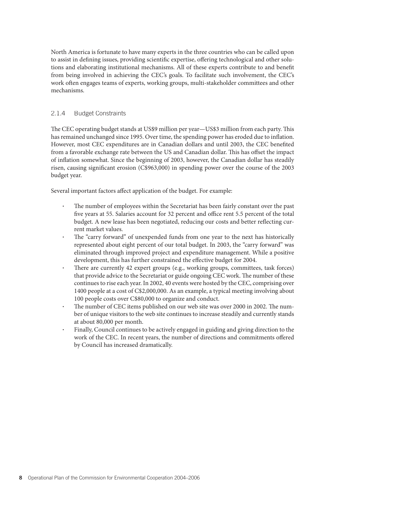North America is fortunate to have many experts in the three countries who can be called upon to assist in defining issues, providing scientific expertise, offering technological and other solutions and elaborating institutional mechanisms. All of these experts contribute to and benefit from being involved in achieving the CEC's goals. To facilitate such involvement, the CEC's work often engages teams of experts, working groups, multi-stakeholder committees and other mechanisms.

## 2.1.4 Budget Constraints

The CEC operating budget stands at US\$9 million per year—US\$3 million from each party. This has remained unchanged since 1995. Over time, the spending power has eroded due to inflation. However, most CEC expenditures are in Canadian dollars and until 2003, the CEC benefited from a favorable exchange rate between the US and Canadian dollar. This has offset the impact of inflation somewhat. Since the beginning of 2003, however, the Canadian dollar has steadily risen, causing significant erosion  $(C$963,000)$  in spending power over the course of the 2003 budget year.

Several important factors affect application of the budget. For example:

- The number of employees within the Secretariat has been fairly constant over the past five years at 55. Salaries account for 32 percent and office rent 5.5 percent of the total budget. A new lease has been negotiated, reducing our costs and better reflecting current market values.
- The "carry forward" of unexpended funds from one year to the next has historically represented about eight percent of our total budget. In 2003, the "carry forward" was eliminated through improved project and expenditure management. While a positive development, this has further constrained the effective budget for 2004.
- There are currently 42 expert groups (e.g., working groups, committees, task forces) that provide advice to the Secretariat or guide ongoing CEC work. The number of these continues to rise each year. In 2002, 40 events were hosted by the CEC, comprising over 1400 people at a cost of C\$2,000,000. As an example, a typical meeting involving about 100 people costs over C\$80,000 to organize and conduct.
- The number of CEC items published on our web site was over 2000 in 2002. The number of unique visitors to the web site continues to increase steadily and currently stands at about 80,000 per month.
- Finally, Council continues to be actively engaged in guiding and giving direction to the work of the CEC. In recent years, the number of directions and commitments offered by Council has increased dramatically.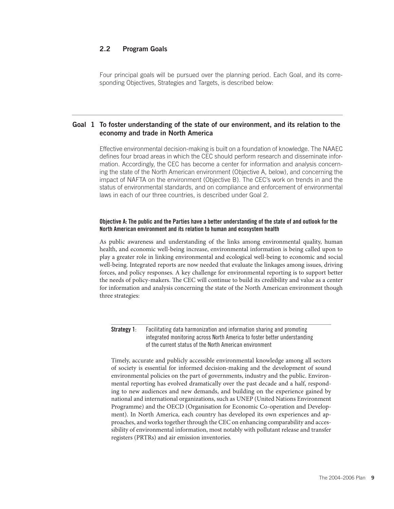## 2.2 Program Goals

Four principal goals will be pursued over the planning period. Each Goal, and its corresponding Objectives, Strategies and Targets, is described below:

## Goal 1 To foster understanding of the state of our environment, and its relation to the economy and trade in North America

Effective environmental decision-making is built on a foundation of knowledge. The NAAEC defines four broad areas in which the CEC should perform research and disseminate information. Accordingly, the CEC has become a center for information and analysis concerning the state of the North American environment (Objective A, below), and concerning the impact of NAFTA on the environment (Objective B). The CEC's work on trends in and the status of environmental standards, and on compliance and enforcement of environmental laws in each of our three countries, is described under Goal 2.

#### Objective A: The public and the Parties have a better understanding of the state of and outlook for the North American environment and its relation to human and ecosystem health

As public awareness and understanding of the links among environmental quality, human health, and economic well-being increase, environmental information is being called upon to play a greater role in linking environmental and ecological well-being to economic and social well-being. Integrated reports are now needed that evaluate the linkages among issues, driving forces, and policy responses. A key challenge for environmental reporting is to support better the needs of policy-makers. The CEC will continue to build its credibility and value as a center for information and analysis concerning the state of the North American environment though three strategies:

**Strategy 1:** Facilitating data harmonization and information sharing and promoting integrated monitoring across North America to foster better understanding of the current status of the North American environment

Timely, accurate and publicly accessible environmental knowledge among all sectors of society is essential for informed decision-making and the development of sound environmental policies on the part of governments, industry and the public. Environmental reporting has evolved dramatically over the past decade and a half, responding to new audiences and new demands, and building on the experience gained by national and international organizations, such as UNEP (United Nations Environment Programme) and the OECD (Organisation for Economic Co-operation and Development). In North America, each country has developed its own experiences and approaches, and works together through the CEC on enhancing comparability and accessibility of environmental information, most notably with pollutant release and transfer registers (PRTRs) and air emission inventories.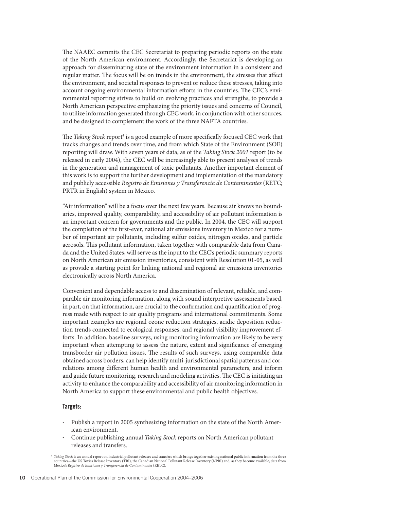The NAAEC commits the CEC Secretariat to preparing periodic reports on the state of the North American environment. Accordingly, the Secretariat is developing an approach for disseminating state of the environment information in a consistent and regular matter. The focus will be on trends in the environment, the stresses that affect the environment, and societal responses to prevent or reduce these stresses, taking into account ongoing environmental information efforts in the countries. The CEC's environmental reporting strives to build on evolving practices and strengths, to provide a North American perspective emphasizing the priority issues and concerns of Council, to utilize information generated through CEC work, in conjunction with other sources, and be designed to complement the work of the three NAFTA countries.

The Taking Stock report<sup>4</sup> is a good example of more specifically focused CEC work that tracks changes and trends over time, and from which State of the Environment (SOE) reporting will draw. With seven years of data, as of the *Taking Stock 2001* report (to be released in early 2004), the CEC will be increasingly able to present analyses of trends in the generation and management of toxic pollutants. Another important element of this work is to support the further development and implementation of the mandatory and publicly accessible *Registro de Emisiones y Transferencia de Contaminantes* (RETC; PRTR in English) system in Mexico.

"Air information" will be a focus over the next few years. Because air knows no boundaries, improved quality, comparability, and accessibility of air pollutant information is an important concern for governments and the public. In 2004, the CEC will support the completion of the first-ever, national air emissions inventory in Mexico for a number of important air pollutants, including sulfur oxides, nitrogen oxides, and particle aerosols. This pollutant information, taken together with comparable data from Canada and the United States, will serve as the input to the CEC's periodic summary reports on North American air emission inventories, consistent with Resolution 01-05, as well as provide a starting point for linking national and regional air emissions inventories electronically across North America.

Convenient and dependable access to and dissemination of relevant, reliable, and comparable air monitoring information, along with sound interpretive assessments based, in part, on that information, are crucial to the confirmation and quantification of progress made with respect to air quality programs and international commitments. Some important examples are regional ozone reduction strategies, acidic deposition reduction trends connected to ecological responses, and regional visibility improvement efforts. In addition, baseline surveys, using monitoring information are likely to be very important when attempting to assess the nature, extent and significance of emerging transborder air pollution issues. The results of such surveys, using comparable data obtained across borders, can help identify multi-jurisdictional spatial patterns and correlations among different human health and environmental parameters, and inform and guide future monitoring, research and modeling activities. The CEC is initiating an activity to enhance the comparability and accessibility of air monitoring information in North America to support these environmental and public health objectives.

#### Targets:

- Publish a report in 2005 synthesizing information on the state of the North American environment.
- Continue publishing annual *Taking Stock* reports on North American pollutant releases and transfers.

<sup>4</sup> *Taking Stock* is an annual report on industrial pollutant releases and transfers which brings together existing national public information from the three countries—the US Toxics Release Inventory (TRI), the Canadian National Pollutant Release Inventory (NPRI) and, as they become available, data from Mexico's *Registro de Emisiones y Transferencia de Contaminantes* (RETC).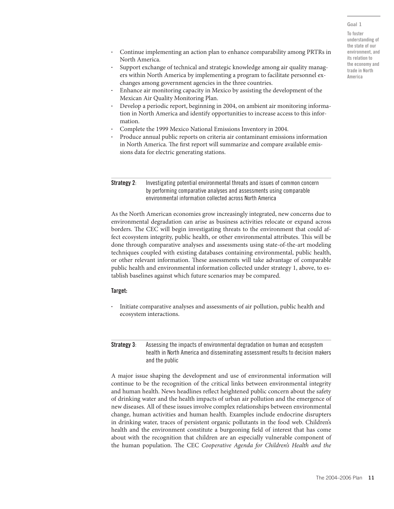#### Goal 1

To foster understanding of the state of our environment, and its relation to the economy and trade in North America

- Continue implementing an action plan to enhance comparability among PRTRs in North America.
- Support exchange of technical and strategic knowledge among air quality managers within North America by implementing a program to facilitate personnel exchanges among government agencies in the three countries.
- Enhance air monitoring capacity in Mexico by assisting the development of the Mexican Air Quality Monitoring Plan.
- Develop a periodic report, beginning in 2004, on ambient air monitoring information in North America and identify opportunities to increase access to this information.
- Complete the 1999 Mexico National Emissions Inventory in 2004.
- Produce annual public reports on criteria air contaminant emissions information in North America. The first report will summarize and compare available emissions data for electric generating stations.

**Strategy 2:** Investigating potential environmental threats and issues of common concern by performing comparative analyses and assessments using comparable environmental information collected across North America

As the North American economies grow increasingly integrated, new concerns due to environmental degradation can arise as business activities relocate or expand across borders. The CEC will begin investigating threats to the environment that could affect ecosystem integrity, public health, or other environmental attributes. This will be done through comparative analyses and assessments using state-of-the-art modeling techniques coupled with existing databases containing environmental, public health, or other relevant information. These assessments will take advantage of comparable public health and environmental information collected under strategy 1, above, to establish baselines against which future scenarios may be compared.

#### Target:

• Initiate comparative analyses and assessments of air pollution, public health and ecosystem interactions.

**Strategy 3:** Assessing the impacts of environmental degradation on human and ecosystem health in North America and disseminating assessment results to decision makers and the public

A major issue shaping the development and use of environmental information will continue to be the recognition of the critical links between environmental integrity and human health. News headlines reflect heightened public concern about the safety of drinking water and the health impacts of urban air pollution and the emergence of new diseases. All of these issues involve complex relationships between environmental change, human activities and human health. Examples include endocrine disrupters in drinking water, traces of persistent organic pollutants in the food web. Children's health and the environment constitute a burgeoning field of interest that has come about with the recognition that children are an especially vulnerable component of the human population. The CEC *Cooperative Agenda for Children's Health and the*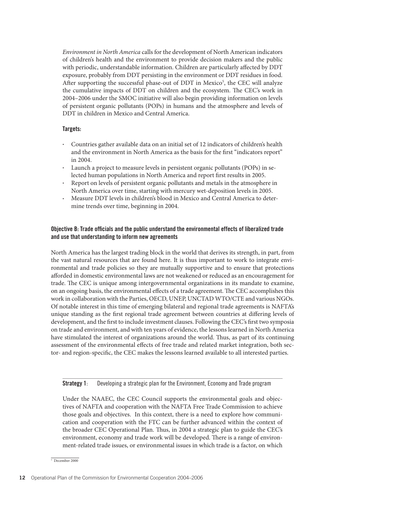*Environment in North America* calls for the development of North American indicators of children's health and the environment to provide decision makers and the public with periodic, understandable information. Children are particularly affected by DDT exposure, probably from DDT persisting in the environment or DDT residues in food. After supporting the successful phase-out of DDT in Mexico<sup>5</sup>, the CEC will analyze the cumulative impacts of DDT on children and the ecosystem. The CEC's work in 2004–2006 under the SMOC initiative will also begin providing information on levels of persistent organic pollutants (POPs) in humans and the atmosphere and levels of DDT in children in Mexico and Central America.

#### Targets:

- Countries gather available data on an initial set of 12 indicators of children's health and the environment in North America as the basis for the first "indicators report" in 2004.
- Launch a project to measure levels in persistent organic pollutants (POPs) in selected human populations in North America and report first results in 2005.
- Report on levels of persistent organic pollutants and metals in the atmosphere in North America over time, starting with mercury wet-deposition levels in 2005.
- Measure DDT levels in children's blood in Mexico and Central America to determine trends over time, beginning in 2004.

#### Objective B: Trade officials and the public understand the environmental effects of liberalized trade and use that understanding to inform new agreements

North America has the largest trading block in the world that derives its strength, in part, from the vast natural resources that are found here. It is thus important to work to integrate environmental and trade policies so they are mutually supportive and to ensure that protections afforded in domestic environmental laws are not weakened or reduced as an encouragement for trade. The CEC is unique among intergovernmental organizations in its mandate to examine, on an ongoing basis, the environmental effects of a trade agreement. The CEC accomplishes this work in collaboration with the Parties, OECD, UNEP, UNCTAD WTO/CTE and various NGOs. Of notable interest in this time of emerging bilateral and regional trade agreements is NAFTA's unique standing as the first regional trade agreement between countries at differing levels of development, and the first to include investment clauses. Following the CEC's first two symposia on trade and environment, and with ten years of evidence, the lessons learned in North America have stimulated the interest of organizations around the world. Thus, as part of its continuing assessment of the environmental effects of free trade and related market integration, both sector- and region-specific, the CEC makes the lessons learned available to all interested parties.

Strategy 1: Developing a strategic plan for the Environment, Economy and Trade program

Under the NAAEC, the CEC Council supports the environmental goals and objectives of NAFTA and cooperation with the NAFTA Free Trade Commission to achieve those goals and objectives. In this context, there is a need to explore how communication and cooperation with the FTC can be further advanced within the context of the broader CEC Operational Plan. Thus, in 2004 a strategic plan to guide the CEC's environment, economy and trade work will be developed. There is a range of environment-related trade issues, or environmental issues in which trade is a factor, on which

<sup>5</sup> December 2000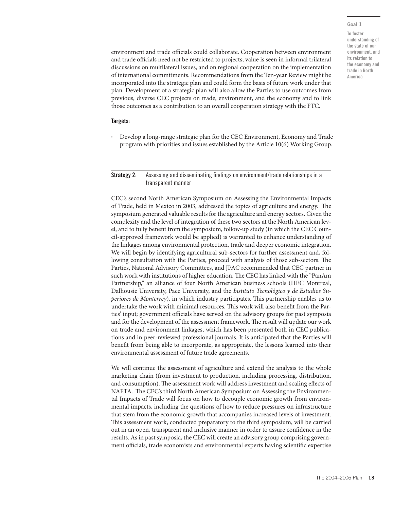#### Goal 1

To foster understanding of the state of our environment, and its relation to the economy and trade in North America

environment and trade officials could collaborate. Cooperation between environment and trade officials need not be restricted to projects; value is seen in informal trilateral discussions on multilateral issues, and on regional cooperation on the implementation of international commitments. Recommendations from the Ten-year Review might be incorporated into the strategic plan and could form the basis of future work under that plan. Development of a strategic plan will also allow the Parties to use outcomes from previous, diverse CEC projects on trade, environment, and the economy and to link those outcomes as a contribution to an overall cooperation strategy with the FTC.

#### Targets:

• Develop a long-range strategic plan for the CEC Environment, Economy and Trade program with priorities and issues established by the Article 10(6) Working Group.

#### Strategy 2: Assessing and disseminating findings on environment/trade relationships in a transparent manner

CEC's second North American Symposium on Assessing the Environmental Impacts of Trade, held in Mexico in 2003, addressed the topics of agriculture and energy. The symposium generated valuable results for the agriculture and energy sectors. Given the complexity and the level of integration of these two sectors at the North American level, and to fully benefit from the symposium, follow-up study (in which the CEC Council-approved framework would be applied) is warranted to enhance understanding of the linkages among environmental protection, trade and deeper economic integration. We will begin by identifying agricultural sub-sectors for further assessment and, following consultation with the Parties, proceed with analysis of those sub-sectors. The Parties, National Advisory Committees, and JPAC recommended that CEC partner in such work with institutions of higher education. The CEC has linked with the "PanAm Partnership," an alliance of four North American business schools (HEC Montreal, Dalhousie University, Pace University, and the *Instituto Tecnológico y de Estudios Superiores de Monterrey*), in which industry participates. This partnership enables us to undertake the work with minimal resources. This work will also benefit from the Parties' input; government officials have served on the advisory groups for past symposia and for the development of the assessment framework. The result will update our work on trade and environment linkages, which has been presented both in CEC publications and in peer-reviewed professional journals. It is anticipated that the Parties will benefit from being able to incorporate, as appropriate, the lessons learned into their environmental assessment of future trade agreements.

We will continue the assessment of agriculture and extend the analysis to the whole marketing chain (from investment to production, including processing, distribution, and consumption). The assessment work will address investment and scaling effects of NAFTA. The CEC's third North American Symposium on Assessing the Environmental Impacts of Trade will focus on how to decouple economic growth from environmental impacts, including the questions of how to reduce pressures on infrastructure that stem from the economic growth that accompanies increased levels of investment. This assessment work, conducted preparatory to the third symposium, will be carried out in an open, transparent and inclusive manner in order to assure confidence in the results. As in past symposia, the CEC will create an advisory group comprising government officials, trade economists and environmental experts having scientific expertise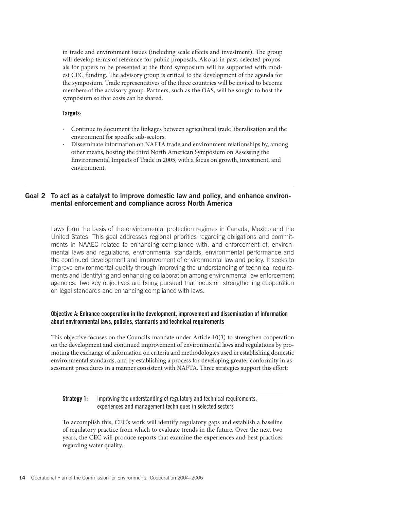in trade and environment issues (including scale effects and investment). The group will develop terms of reference for public proposals. Also as in past, selected proposals for papers to be presented at the third symposium will be supported with modest CEC funding. The advisory group is critical to the development of the agenda for the symposium. Trade representatives of the three countries will be invited to become members of the advisory group. Partners, such as the OAS, will be sought to host the symposium so that costs can be shared.

#### Targets:

- Continue to document the linkages between agricultural trade liberalization and the environment for specific sub-sectors.
- Disseminate information on NAFTA trade and environment relationships by, among other means, hosting the third North American Symposium on Assessing the Environmental Impacts of Trade in 2005, with a focus on growth, investment, and environment.

## Goal 2 To act as a catalyst to improve domestic law and policy, and enhance environmental enforcement and compliance across North America

Laws form the basis of the environmental protection regimes in Canada, Mexico and the United States. This goal addresses regional priorities regarding obligations and commitments in NAAEC related to enhancing compliance with, and enforcement of, environmental laws and regulations, environmental standards, environmental performance and the continued development and improvement of environmental law and policy. It seeks to improve environmental quality through improving the understanding of technical requirements and identifying and enhancing collaboration among environmental law enforcement agencies. Two key objectives are being pursued that focus on strengthening cooperation on legal standards and enhancing compliance with laws.

## Objective A: Enhance cooperation in the development, improvement and dissemination of information about environmental laws, policies, standards and technical requirements

This objective focuses on the Council's mandate under Article  $10(3)$  to strengthen cooperation on the development and continued improvement of environmental laws and regulations by promoting the exchange of information on criteria and methodologies used in establishing domestic environmental standards, and by establishing a process for developing greater conformity in assessment procedures in a manner consistent with NAFTA. Three strategies support this effort:

#### Strategy 1: Improving the understanding of regulatory and technical requirements, experiences and management techniques in selected sectors

To accomplish this, CEC's work will identify regulatory gaps and establish a baseline of regulatory practice from which to evaluate trends in the future. Over the next two years, the CEC will produce reports that examine the experiences and best practices regarding water quality.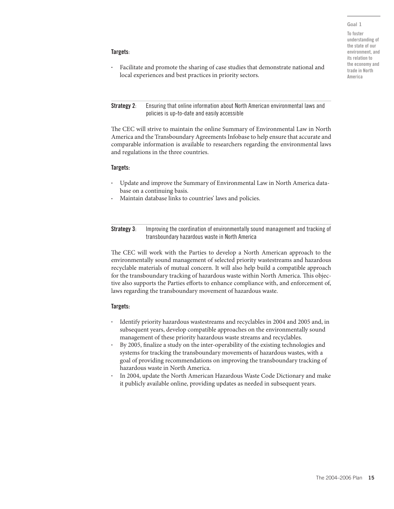#### Goal 1

To foster understanding of the state of our environment, and its relation to the economy and trade in North America

#### Targets:

• Facilitate and promote the sharing of case studies that demonstrate national and local experiences and best practices in priority sectors.

#### Strategy 2: Ensuring that online information about North American environmental laws and policies is up-to-date and easily accessible

The CEC will strive to maintain the online Summary of Environmental Law in North America and the Transboundary Agreements Infobase to help ensure that accurate and comparable information is available to researchers regarding the environmental laws and regulations in the three countries.

#### Targets:

- Update and improve the Summary of Environmental Law in North America database on a continuing basis.
- Maintain database links to countries' laws and policies.

Strategy 3: Improving the coordination of environmentally sound management and tracking of transboundary hazardous waste in North America

The CEC will work with the Parties to develop a North American approach to the environmentally sound management of selected priority wastestreams and hazardous recyclable materials of mutual concern. It will also help build a compatible approach for the transboundary tracking of hazardous waste within North America. This objective also supports the Parties efforts to enhance compliance with, and enforcement of, laws regarding the transboundary movement of hazardous waste.

#### Targets:

- Identify priority hazardous wastestreams and recyclables in 2004 and 2005 and, in subsequent years, develop compatible approaches on the environmentally sound management of these priority hazardous waste streams and recyclables.
- By 2005, finalize a study on the inter-operability of the existing technologies and systems for tracking the transboundary movements of hazardous wastes, with a goal of providing recommendations on improving the transboundary tracking of hazardous waste in North America.
- In 2004, update the North American Hazardous Waste Code Dictionary and make it publicly available online, providing updates as needed in subsequent years.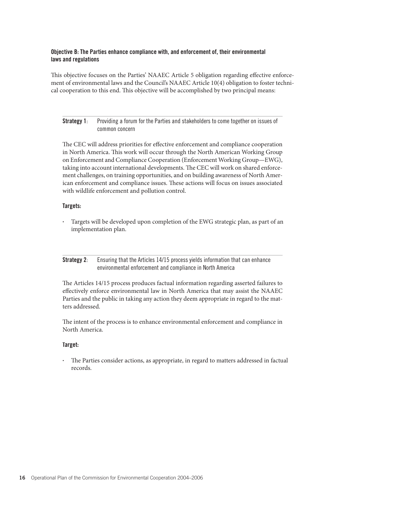## Objective B: The Parties enhance compliance with, and enforcement of, their environmental laws and regulations

This objective focuses on the Parties' NAAEC Article 5 obligation regarding effective enforcement of environmental laws and the Council's NAAEC Article 10(4) obligation to foster technical cooperation to this end. This objective will be accomplished by two principal means:

## Strategy 1: Providing a forum for the Parties and stakeholders to come together on issues of common concern

The CEC will address priorities for effective enforcement and compliance cooperation in North America. This work will occur through the North American Working Group on Enforcement and Compliance Cooperation (Enforcement Working Group—EWG), taking into account international developments. The CEC will work on shared enforcement challenges, on training opportunities, and on building awareness of North American enforcement and compliance issues. These actions will focus on issues associated with wildlife enforcement and pollution control.

## Targets:

• Targets will be developed upon completion of the EWG strategic plan, as part of an implementation plan.

Strategy 2: Ensuring that the Articles 14/15 process yields information that can enhance environmental enforcement and compliance in North America

The Articles 14/15 process produces factual information regarding asserted failures to effectively enforce environmental law in North America that may assist the NAAEC Parties and the public in taking any action they deem appropriate in regard to the matters addressed.

The intent of the process is to enhance environmental enforcement and compliance in North America.

## Target:

The Parties consider actions, as appropriate, in regard to matters addressed in factual records.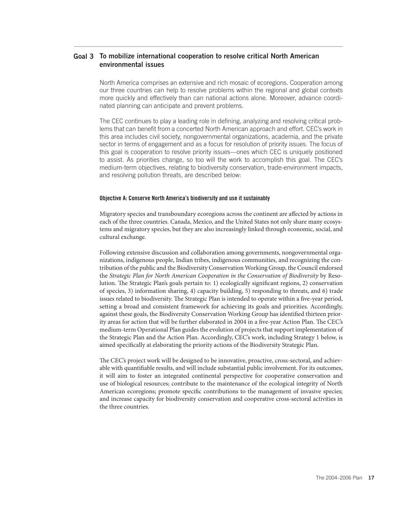## Goal 3 To mobilize international cooperation to resolve critical North American environmental issues

North America comprises an extensive and rich mosaic of ecoregions. Cooperation among our three countries can help to resolve problems within the regional and global contexts more quickly and effectively than can national actions alone. Moreover, advance coordinated planning can anticipate and prevent problems.

The CEC continues to play a leading role in defining, analyzing and resolving critical problems that can benefit from a concerted North American approach and effort. CEC's work in this area includes civil society, nongovernmental organizations, academia, and the private sector in terms of engagement and as a focus for resolution of priority issues. The focus of this goal is cooperation to resolve priority issues—ones which CEC is uniquely positioned to assist. As priorities change, so too will the work to accomplish this goal. The CEC's medium-term objectives, relating to biodiversity conservation, trade-environment impacts, and resolving pollution threats, are described below:

#### Objective A: Conserve North America's biodiversity and use it sustainably

Migratory species and transboundary ecoregions across the continent are affected by actions in each of the three countries. Canada, Mexico, and the United States not only share many ecosystems and migratory species, but they are also increasingly linked through economic, social, and cultural exchange.

Following extensive discussion and collaboration among governments, nongovernmental organizations, indigenous people, Indian tribes, indigenous communities, and recognizing the contribution of the public and the Biodiversity Conservation Working Group, the Council endorsed the *Strategic Plan for North American Cooperation in the Conservation of Biodiversity* by Resolution. The Strategic Plan's goals pertain to: 1) ecologically significant regions, 2) conservation of species, 3) information sharing, 4) capacity building, 5) responding to threats, and 6) trade issues related to biodiversity. The Strategic Plan is intended to operate within a five-year period, setting a broad and consistent framework for achieving its goals and priorities. Accordingly, against these goals, the Biodiversity Conservation Working Group has identified thirteen priority areas for action that will be further elaborated in 2004 in a five-year Action Plan. The CEC's medium-term Operational Plan guides the evolution of projects that support implementation of the Strategic Plan and the Action Plan. Accordingly, CEC's work, including Strategy 1 below, is aimed specifically at elaborating the priority actions of the Biodiversity Strategic Plan.

The CEC's project work will be designed to be innovative, proactive, cross-sectoral, and achievable with quantifiable results, and will include substantial public involvement. For its outcomes, it will aim to foster an integrated continental perspective for cooperative conservation and use of biological resources; contribute to the maintenance of the ecological integrity of North American ecoregions; promote specific contributions to the management of invasive species; and increase capacity for biodiversity conservation and cooperative cross-sectoral activities in the three countries.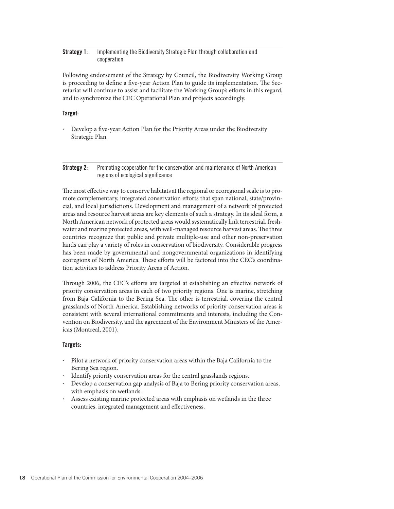## Strategy 1: Implementing the Biodiversity Strategic Plan through collaboration and cooperation

Following endorsement of the Strategy by Council, the Biodiversity Working Group is proceeding to define a five-year Action Plan to guide its implementation. The Secretariat will continue to assist and facilitate the Working Group's efforts in this regard, and to synchronize the CEC Operational Plan and projects accordingly.

## Target:

Develop a five-year Action Plan for the Priority Areas under the Biodiversity Strategic Plan

#### Strategy 2: Promoting cooperation for the conservation and maintenance of North American regions of ecological significance

The most effective way to conserve habitats at the regional or ecoregional scale is to promote complementary, integrated conservation efforts that span national, state/provincial, and local jurisdictions. Development and management of a network of protected areas and resource harvest areas are key elements of such a strategy. In its ideal form, a North American network of protected areas would systematically link terrestrial, freshwater and marine protected areas, with well-managed resource harvest areas. The three countries recognize that public and private multiple-use and other non-preservation lands can play a variety of roles in conservation of biodiversity. Considerable progress has been made by governmental and nongovernmental organizations in identifying ecoregions of North America. These efforts will be factored into the CEC's coordination activities to address Priority Areas of Action.

Through 2006, the CEC's efforts are targeted at establishing an effective network of priority conservation areas in each of two priority regions. One is marine, stretching from Baja California to the Bering Sea. The other is terrestrial, covering the central grasslands of North America. Establishing networks of priority conservation areas is consistent with several international commitments and interests, including the Convention on Biodiversity, and the agreement of the Environment Ministers of the Americas (Montreal, 2001).

## Targets:

- Pilot a network of priority conservation areas within the Baja California to the Bering Sea region.
- Identify priority conservation areas for the central grasslands regions.
- Develop a conservation gap analysis of Baja to Bering priority conservation areas, with emphasis on wetlands.
- Assess existing marine protected areas with emphasis on wetlands in the three countries, integrated management and effectiveness.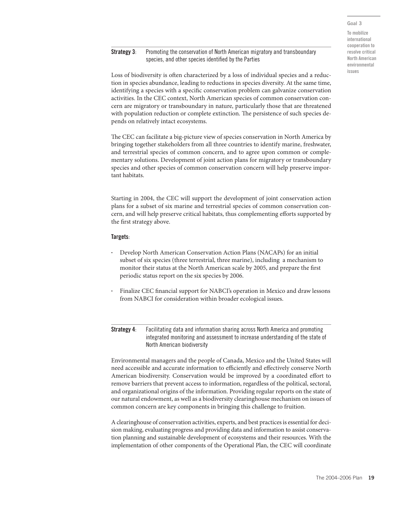Goal 3 To mobilize international cooperation to resolve critical North American environmental

issues

## **Strategy 3:** Promoting the conservation of North American migratory and transboundary species, and other species identified by the Parties

Loss of biodiversity is often characterized by a loss of individual species and a reduction in species abundance, leading to reductions in species diversity. At the same time, identifying a species with a specific conservation problem can galvanize conservation activities. In the CEC context, North American species of common conservation concern are migratory or transboundary in nature, particularly those that are threatened with population reduction or complete extinction. The persistence of such species depends on relatively intact ecosystems.

The CEC can facilitate a big-picture view of species conservation in North America by bringing together stakeholders from all three countries to identify marine, freshwater, and terrestrial species of common concern, and to agree upon common or complementary solutions. Development of joint action plans for migratory or transboundary species and other species of common conservation concern will help preserve important habitats.

Starting in 2004, the CEC will support the development of joint conservation action plans for a subset of six marine and terrestrial species of common conservation concern, and will help preserve critical habitats, thus complementing efforts supported by the first strategy above.

## Targets:

- Develop North American Conservation Action Plans (NACAPs) for an initial subset of six species (three terrestrial, three marine), including a mechanism to monitor their status at the North American scale by 2005, and prepare the first periodic status report on the six species by 2006.
- Finalize CEC financial support for NABCI's operation in Mexico and draw lessons from NABCI for consideration within broader ecological issues.

**Strategy 4:** Facilitating data and information sharing across North America and promoting integrated monitoring and assessment to increase understanding of the state of North American biodiversity

Environmental managers and the people of Canada, Mexico and the United States will need accessible and accurate information to efficiently and effectively conserve North American biodiversity. Conservation would be improved by a coordinated effort to remove barriers that prevent access to information, regardless of the political, sectoral, and organizational origins of the information. Providing regular reports on the state of our natural endowment, as well as a biodiversity clearinghouse mechanism on issues of common concern are key components in bringing this challenge to fruition.

A clearinghouse of conservation activities, experts, and best practices is essential for decision making, evaluating progress and providing data and information to assist conservation planning and sustainable development of ecosystems and their resources. With the implementation of other components of the Operational Plan, the CEC will coordinate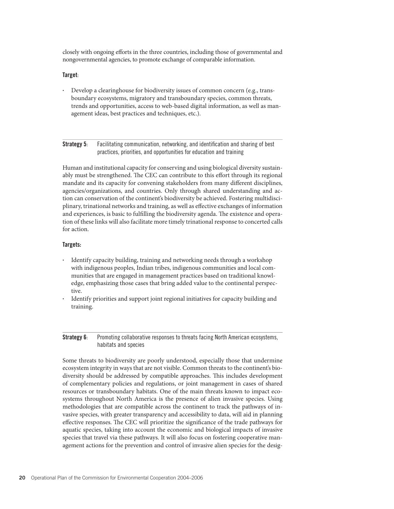closely with ongoing efforts in the three countries, including those of governmental and nongovernmental agencies, to promote exchange of comparable information.

#### Target:

• Develop a clearinghouse for biodiversity issues of common concern (e.g., transboundary ecosystems, migratory and transboundary species, common threats, trends and opportunities, access to web-based digital information, as well as management ideas, best practices and techniques, etc.).

**Strategy 5:** Facilitating communication, networking, and identification and sharing of best practices, priorities, and opportunities for education and training

Human and institutional capacity for conserving and using biological diversity sustainably must be strengthened. The CEC can contribute to this effort through its regional mandate and its capacity for convening stakeholders from many different disciplines, agencies/organizations, and countries. Only through shared understanding and action can conservation of the continent's biodiversity be achieved. Fostering multidisciplinary, trinational networks and training, as well as effective exchanges of information and experiences, is basic to fulfilling the biodiversity agenda. The existence and operation of these links will also facilitate more timely trinational response to concerted calls for action.

#### Targets:

- Identify capacity building, training and networking needs through a workshop with indigenous peoples, Indian tribes, indigenous communities and local communities that are engaged in management practices based on traditional knowledge, emphasizing those cases that bring added value to the continental perspective.
- Identify priorities and support joint regional initiatives for capacity building and training.

Strategy 6: Promoting collaborative responses to threats facing North American ecosystems, habitats and species

Some threats to biodiversity are poorly understood, especially those that undermine ecosystem integrity in ways that are not visible. Common threats to the continent's biodiversity should be addressed by compatible approaches. This includes development of complementary policies and regulations, or joint management in cases of shared resources or transboundary habitats. One of the main threats known to impact ecosystems throughout North America is the presence of alien invasive species. Using methodologies that are compatible across the continent to track the pathways of invasive species, with greater transparency and accessibility to data, will aid in planning effective responses. The CEC will prioritize the significance of the trade pathways for aquatic species, taking into account the economic and biological impacts of invasive species that travel via these pathways. It will also focus on fostering cooperative management actions for the prevention and control of invasive alien species for the desig-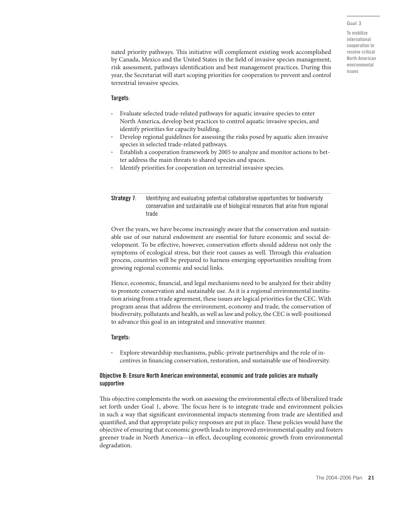#### Goal 3

To mobilize international cooperation to resolve critical North American environmental issues

nated priority pathways. This initiative will complement existing work accomplished by Canada, Mexico and the United States in the field of invasive species management, risk assessment, pathways identification and best management practices. During this year, the Secretariat will start scoping priorities for cooperation to prevent and control terrestrial invasive species.

#### Targets:

- Evaluate selected trade-related pathways for aquatic invasive species to enter North America, develop best practices to control aquatic invasive species, and identify priorities for capacity building.
- Develop regional guidelines for assessing the risks posed by aquatic alien invasive species in selected trade-related pathways.
- Establish a cooperation framework by 2005 to analyze and monitor actions to better address the main threats to shared species and spaces.
- Identify priorities for cooperation on terrestrial invasive species.

**Strategy 7:** Identifying and evaluating potential collaborative opportunities for biodiversity conservation and sustainable use of biological resources that arise from regional trade

Over the years, we have become increasingly aware that the conservation and sustainable use of our natural endowment are essential for future economic and social development. To be effective, however, conservation efforts should address not only the symptoms of ecological stress, but their root causes as well. Through this evaluation process, countries will be prepared to harness emerging opportunities resulting from growing regional economic and social links.

Hence, economic, financial, and legal mechanisms need to be analyzed for their ability to promote conservation and sustainable use. As it is a regional environmental institution arising from a trade agreement, these issues are logical priorities for the CEC. With program areas that address the environment, economy and trade, the conservation of biodiversity, pollutants and health, as well as law and policy, the CEC is well-positioned to advance this goal in an integrated and innovative manner.

#### Targets:

• Explore stewardship mechanisms, public-private partnerships and the role of incentives in financing conservation, restoration, and sustainable use of biodiversity.

#### Objective B: Ensure North American environmental, economic and trade policies are mutually supportive

This objective complements the work on assessing the environmental effects of liberalized trade set forth under Goal 1, above. The focus here is to integrate trade and environment policies in such a way that significant environmental impacts stemming from trade are identified and quantified, and that appropriate policy responses are put in place. These policies would have the objective of ensuring that economic growth leads to improved environmental quality and fosters greener trade in North America—in effect, decoupling economic growth from environmental degradation.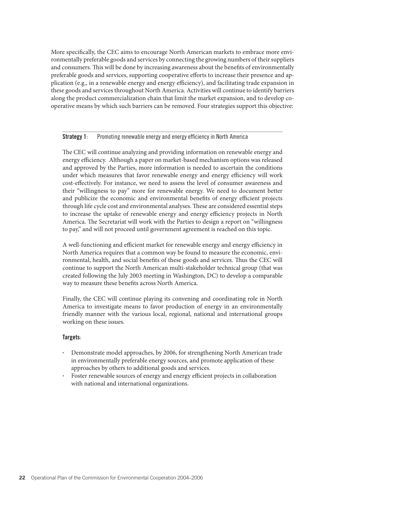More specifically, the CEC aims to encourage North American markets to embrace more environmentally preferable goods and services by connecting the growing numbers of their suppliers and consumers. This will be done by increasing awareness about the benefits of environmentally preferable goods and services, supporting cooperative efforts to increase their presence and application (e.g., in a renewable energy and energy efficiency), and facilitating trade expansion in these goods and services throughout North America. Activities will continue to identify barriers along the product commercialization chain that limit the market expansion, and to develop cooperative means by which such barriers can be removed. Four strategies support this objective:

#### **Strategy 1:** Promoting renewable energy and energy efficiency in North America

The CEC will continue analyzing and providing information on renewable energy and energy efficiency. Although a paper on market-based mechanism options was released and approved by the Parties, more information is needed to ascertain the conditions under which measures that favor renewable energy and energy efficiency will work cost-effectively. For instance, we need to assess the level of consumer awareness and their "willingness to pay" more for renewable energy. We need to document better and publicize the economic and environmental benefits of energy efficient projects through life cycle cost and environmental analyses. These are considered essential steps to increase the uptake of renewable energy and energy efficiency projects in North America. The Secretariat will work with the Parties to design a report on "willingness to pay," and will not proceed until government agreement is reached on this topic.

A well-functioning and efficient market for renewable energy and energy efficiency in North America requires that a common way be found to measure the economic, environmental, health, and social benefits of these goods and services. Thus the CEC will continue to support the North American multi-stakeholder technical group (that was created following the July 2003 meeting in Washington, DC) to develop a comparable way to measure these benefits across North America.

Finally, the CEC will continue playing its convening and coordinating role in North America to investigate means to favor production of energy in an environmentally friendly manner with the various local, regional, national and international groups working on these issues.

#### Targets:

- Demonstrate model approaches, by 2006, for strengthening North American trade in environmentally preferable energy sources, and promote application of these approaches by others to additional goods and services.
- Foster renewable sources of energy and energy efficient projects in collaboration with national and international organizations.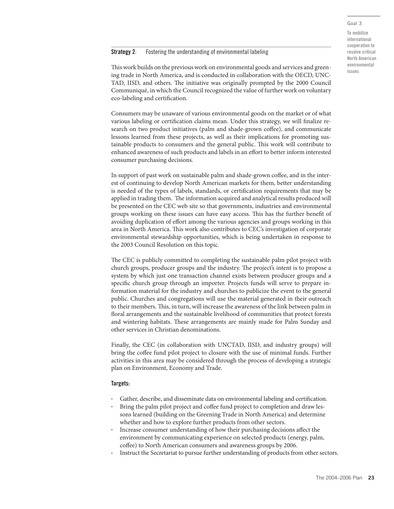## Strategy 2: Fostering the understanding of environmental labeling

This work builds on the previous work on environmental goods and services and greening trade in North America, and is conducted in collaboration with the OECD, UNC-TAD, IISD, and others. The initiative was originally prompted by the 2000 Council Communiqué, in which the Council recognized the value of further work on voluntary eco-labeling and certification.

Consumers may be unaware of various environmental goods on the market or of what various labeling or certification claims mean. Under this strategy, we will finalize research on two product initiatives (palm and shade-grown coffee), and communicate lessons learned from these projects, as well as their implications for promoting sustainable products to consumers and the general public. This work will contribute to enhanced awareness of such products and labels in an effort to better inform interested consumer purchasing decisions.

In support of past work on sustainable palm and shade-grown coffee, and in the interest of continuing to develop North American markets for them, better understanding is needed of the types of labels, standards, or certification requirements that may be applied in trading them. The information acquired and analytical results produced will be presented on the CEC web site so that governments, industries and environmental groups working on these issues can have easy access. This has the further benefit of avoiding duplication of effort among the various agencies and groups working in this area in North America. This work also contributes to CEC's investigation of corporate environmental stewardship opportunities, which is being undertaken in response to the 2003 Council Resolution on this topic.

The CEC is publicly committed to completing the sustainable palm pilot project with church groups, producer groups and the industry. The project's intent is to propose a system by which just one transaction channel exists between producer groups and a specific church group through an importer. Projects funds will serve to prepare information material for the industry and churches to publicize the event to the general public. Churches and congregations will use the material generated in their outreach to their members. This, in turn, will increase the awareness of the link between palm in floral arrangements and the sustainable livelihood of communities that protect forests and wintering habitats. These arrangements are mainly made for Palm Sunday and other services in Christian denominations.

Finally, the CEC (in collaboration with UNCTAD, IISD, and industry groups) will bring the coffee fund pilot project to closure with the use of minimal funds. Further activities in this area may be considered through the process of developing a strategic plan on Environment, Economy and Trade.

#### Targets:

- Gather, describe, and disseminate data on environmental labeling and certification.
- Bring the palm pilot project and coffee fund project to completion and draw lessons learned (building on the Greening Trade in North America) and determine whether and how to explore further products from other sectors.
- Increase consumer understanding of how their purchasing decisions affect the environment by communicating experience on selected products (energy, palm, coffee) to North American consumers and awareness groups by 2006.
- Instruct the Secretariat to pursue further understanding of products from other sectors.

Goal 3 To mobilize international cooperation to resolve critical North American environmental issues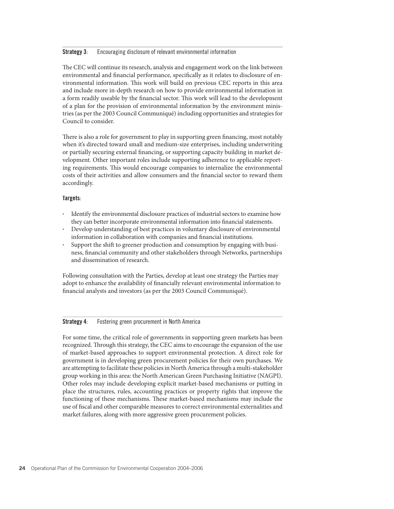#### Strategy 3: Encouraging disclosure of relevant environmental information

The CEC will continue its research, analysis and engagement work on the link between environmental and financial performance, specifically as it relates to disclosure of environmental information. This work will build on previous CEC reports in this area and include more in-depth research on how to provide environmental information in a form readily useable by the financial sector. This work will lead to the development of a plan for the provision of environmental information by the environment ministries (as per the 2003 Council Communiqué) including opportunities and strategies for Council to consider.

There is also a role for government to play in supporting green financing, most notably when it's directed toward small and medium-size enterprises, including underwriting or partially securing external financing, or supporting capacity building in market development. Other important roles include supporting adherence to applicable reporting requirements. This would encourage companies to internalize the environmental costs of their activities and allow consumers and the financial sector to reward them accordingly.

#### Targets:

- Identify the environmental disclosure practices of industrial sectors to examine how they can better incorporate environmental information into financial statements.
- Develop understanding of best practices in voluntary disclosure of environmental information in collaboration with companies and financial institutions.
- Support the shift to greener production and consumption by engaging with business, financial community and other stakeholders through Networks, partnerships and dissemination of research.

Following consultation with the Parties, develop at least one strategy the Parties may adopt to enhance the availability of financially relevant environmental information to financial analysts and investors (as per the 2003 Council Communiqué).

#### Strategy 4: Fostering green procurement in North America

For some time, the critical role of governments in supporting green markets has been recognized. Through this strategy, the CEC aims to encourage the expansion of the use of market-based approaches to support environmental protection. A direct role for government is in developing green procurement policies for their own purchases. We are attempting to facilitate these policies in North America through a multi-stakeholder group working in this area: the North American Green Purchasing Initiative (NAGPI). Other roles may include developing explicit market-based mechanisms or putting in place the structures, rules, accounting practices or property rights that improve the functioning of these mechanisms. These market-based mechanisms may include the use of fiscal and other comparable measures to correct environmental externalities and market failures, along with more aggressive green procurement policies.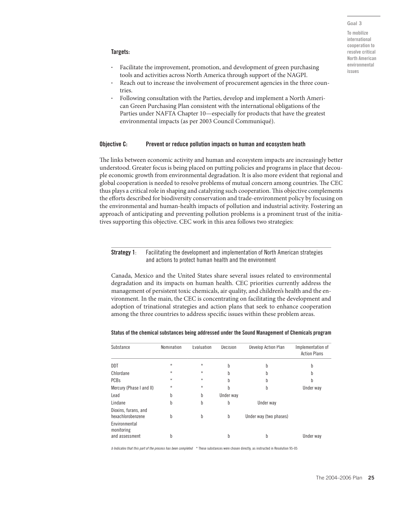#### Goal 3

To mobilize international cooperation to resolve critical North American environmental issues

#### Targets:

- Facilitate the improvement, promotion, and development of green purchasing tools and activities across North America through support of the NAGPI.
- Reach out to increase the involvement of procurement agencies in the three countries.
- Following consultation with the Parties, develop and implement a North American Green Purchasing Plan consistent with the international obligations of the Parties under NAFTA Chapter 10—especially for products that have the greatest environmental impacts (as per 2003 Council Communiqué).

#### Objective C: Prevent or reduce pollution impacts on human and ecosystem heath

The links between economic activity and human and ecosystem impacts are increasingly better understood. Greater focus is being placed on putting policies and programs in place that decouple economic growth from environmental degradation. It is also more evident that regional and global cooperation is needed to resolve problems of mutual concern among countries. The CEC thus plays a critical role in shaping and catalyzing such cooperation. This objective complements the efforts described for biodiversity conservation and trade-environment policy by focusing on the environmental and human-health impacts of pollution and industrial activity. Fostering an approach of anticipating and preventing pollution problems is a prominent trust of the initiatives supporting this objective. CEC work in this area follows two strategies:

#### **Strategy 1:** Facilitating the development and implementation of North American strategies and actions to protect human health and the environment

Canada, Mexico and the United States share several issues related to environmental degradation and its impacts on human health. CEC priorities currently address the management of persistent toxic chemicals, air quality, and children's health and the environment. In the main, the CEC is concentrating on facilitating the development and adoption of trinational strategies and action plans that seek to enhance cooperation among the three countries to address specific issues within these problem areas.

| Substance                                     | Nomination | Evaluation | Decision  | Develop Action Plan    | Implementation of<br><b>Action Plans</b> |
|-----------------------------------------------|------------|------------|-----------|------------------------|------------------------------------------|
| DDT                                           | $\star$    | $\star$    | b         | b                      | b                                        |
| Chlordane                                     | $\star$    | $\star$    | b         | h                      | b                                        |
| <b>PCBs</b>                                   | $\star$    | $\star$    | b         | b                      | b                                        |
| Mercury (Phase I and II)                      | $\star$    | $\star$    | b         | b                      | Under way                                |
| Lead                                          | b          | b          | Under way |                        |                                          |
| Lindane                                       | b          | b          | b         | Under way              |                                          |
| Dioxins, furans, and<br>hexachlorobenzene     | b          | b          | b         | Under way (two phases) |                                          |
| Environmental<br>monitoring<br>and assessment | h          |            | b         | b                      | Under way                                |

#### Status of the chemical substances being addressed under the Sound Management of Chemicals program

b Indicates that this part of the process has been completed \* These substances were chosen directly, as instructed in Resolution 95-05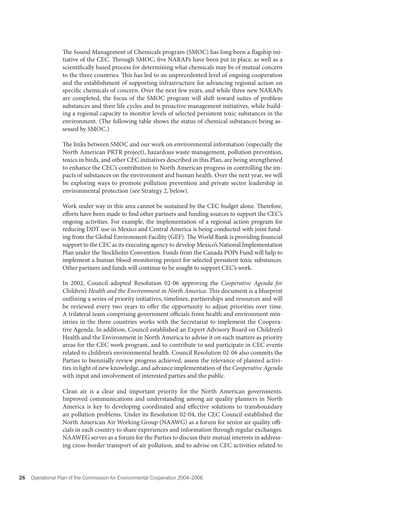The Sound Management of Chemicals program (SMOC) has long been a flagship initiative of the CEC. Through SMOC, five NARAPs have been put in place, as well as a scientifically based process for determining what chemicals may be of mutual concern to the three countries. This has led to an unprecedented level of ongoing cooperation and the establishment of supporting infrastructure for advancing regional action on specific chemicals of concern. Over the next few years, and while three new NARAPs are completed, the focus of the SMOC program will shift toward suites of problem substances and their life cycles and to proactive management initiatives, while building a regional capacity to monitor levels of selected persistent toxic substances in the environment. (The following table shows the status of chemical substances being assessed by SMOC.)

The links between SMOC and our work on environmental information (especially the North American PRTR project), hazardous waste management, pollution prevention, toxics in birds, and other CEC initiatives described in this Plan, are being strengthened to enhance the CEC's contribution to North American progress in controlling the impacts of substances on the environment and human health. Over the next year, we will be exploring ways to promote pollution prevention and private sector leadership in environmental protection (see Strategy 2, below).

Work under way in this area cannot be sustained by the CEC budget alone. Therefore, efforts have been made to find other partners and funding sources to support the CEC's ongoing activities. For example, the implementation of a regional action program for reducing DDT use in Mexico and Central America is being conducted with joint funding from the Global Environment Facility (GEF). The World Bank is providing financial support to the CEC as its executing agency to develop Mexico's National Implementation Plan under the Stockholm Convention. Funds from the Canada POPs Fund will help to implement a human blood-monitoring project for selected persistent toxic substances. Other partners and funds will continue to be sought to support CEC's work.

In 2002, Council adopted Resolution 02-06 approving the *Cooperative Agenda for Children's Health and the Environment in North America*. This document is a blueprint outlining a series of priority initiatives, timelines, partnerships and resources and will be reviewed every two years to offer the opportunity to adjust priorities over time. A trilateral team comprising government officials from health and environment ministries in the three countries works with the Secretariat to implement the Cooperative Agenda. In addition, Council established an Expert Advisory Board on Children's Health and the Environment in North America to advise it on such matters as priority areas for the CEC work program, and to contribute to and participate in CEC events related to children's environmental health. Council Resolution 02-06 also commits the Parties to biennially review progress achieved, assess the relevance of planned activities in light of new knowledge, and advance implementation of the *Cooperative Agenda* with input and involvement of interested parties and the public.

Clean air is a clear and important priority for the North American governments. Improved communications and understanding among air quality planners in North America is key to developing coordinated and effective solutions to transboundary air pollution problems. Under its Resolution 02-04, the CEC Council established the North American Air Working Group (NAAWG) as a forum for senior air quality officials in each country to share experiences and information through regular exchanges. NAAWEG serves as a forum for the Parties to discuss their mutual interests in addressing cross-border transport of air pollution, and to advise on CEC activities related to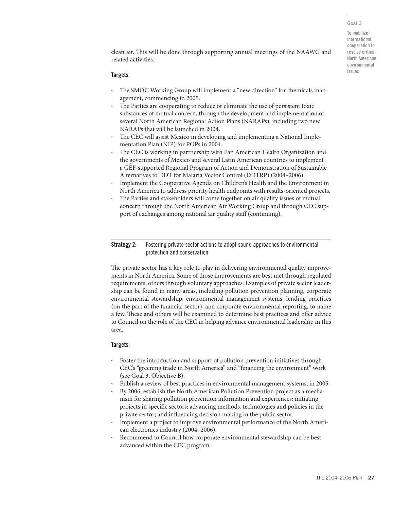Goal 3

To mobilize international cooperation to resolve critical North American environmental issues

clean air. This will be done through supporting annual meetings of the NAAWG and related activities.

#### Targets:

- The SMOC Working Group will implement a "new direction" for chemicals management, commencing in 2005.
- The Parties are cooperating to reduce or eliminate the use of persistent toxic substances of mutual concern, through the development and implementation of several North American Regional Action Plans (NARAPs), including two new NARAPs that will be launched in 2004.
- The CEC will assist Mexico in developing and implementing a National Implementation Plan (NIP) for POPs in 2004.
- The CEC is working in partnership with Pan American Health Organization and the governments of Mexico and several Latin American countries to implement a GEF-supported Regional Program of Action and Demonstration of Sustainable Alternatives to DDT for Malaria Vector Control (DDTRP) (2004–2006).
- Implement the Cooperative Agenda on Children's Health and the Environment in North America to address priority health endpoints with results-oriented projects.
- The Parties and stakeholders will come together on air quality issues of mutual concern through the North American Air Working Group and through CEC support of exchanges among national air quality staff (continuing).

**Strategy 2:** Fostering private sector actions to adopt sound approaches to environmental protection and conservation

The private sector has a key role to play in delivering environmental quality improvements in North America. Some of those improvements are best met through regulated requirements, others through voluntary approaches. Examples of private sector leadership can be found in many areas, including pollution prevention planning, corporate environmental stewardship, environmental management systems, lending practices (on the part of the financial sector), and corporate environmental reporting, to name a few. These and others will be examined to determine best practices and offer advice to Council on the role of the CEC in helping advance environmental leadership in this area.

#### Targets:

- Foster the introduction and support of pollution prevention initiatives through CEC's "greening trade in North America" and "financing the environment" work (see Goal 3, Objective B).
- Publish a review of best practices in environmental management systems, in 2005.
- By 2006, establish the North American Pollution Prevention project as a mechanism for sharing pollution prevention information and experiences; initiating projects in specific sectors; advancing methods, technologies and policies in the private sector; and influencing decision making in the public sector.
- Implement a project to improve environmental performance of the North American electronics industry (2004–2006).
- Recommend to Council how corporate environmental stewardship can be best advanced within the CEC program.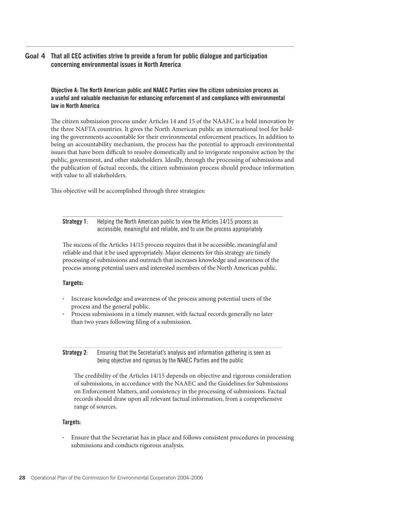#### That all CEC activities strive to provide a forum for public dialogue and participation concerning environmental issues in North America Goal 4

Objective A: The North American public and NAAEC Parties view the citizen submission process as a useful and valuable mechanism for enhancing enforcement of and compliance with environmental law in North America

The citizen submission process under Articles 14 and 15 of the NAAEC is a bold innovation by the three NAFTA countries. It gives the North American public an international tool for holding the governments accountable for their environmental enforcement practices. In addition to being an accountability mechanism, the process has the potential to approach environmental issues that have been difficult to resolve domestically and to invigorate responsive action by the public, government, and other stakeholders. Ideally, through the processing of submissions and the publication of factual records, the citizen submission process should produce information with value to all stakeholders.

This objective will be accomplished through three strategies:

| Strategy $1$ : | Helping the North American public to view the Articles 14/15 process as   |
|----------------|---------------------------------------------------------------------------|
|                | accessible, meaningful and reliable, and to use the process appropriately |

The success of the Articles 14/15 process requires that it be accessible, meaningful and reliable and that it be used appropriately. Major elements for this strategy are timely processing of submissions and outreach that increases knowledge and awareness of the process among potential users and interested members of the North American public.

## **Targets:**

- Increase knowledge and awareness of the process among potential users of the process and the general public.
- Process submissions in a timely manner, with factual records generally no later than two years following filing of a submission.

**Strategy 2:** Ensuring that the Secretariat's analysis and information gathering is seen as being objective and rigorous by the NAAEC Parties and the public

The credibility of the Articles 14/15 depends on objective and rigorous consideration of submissions, in accordance with the NAAEC and the Guidelines for Submissions on Enforcement Matters, and consistency in the processing of submissions. Factual records should draw upon all relevant factual information, from a comprehensive range of sources.

## Targets:

• Ensure that the Secretariat has in place and follows consistent procedures in processing submissions and conducts rigorous analysis.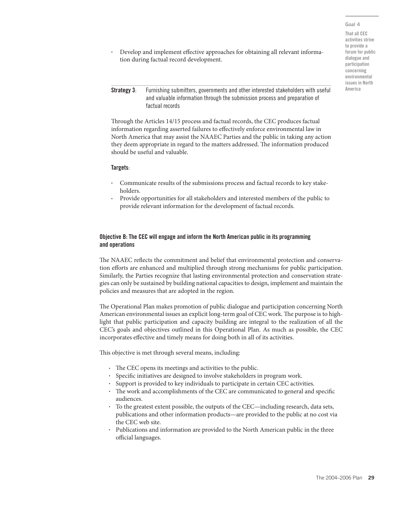#### Goal 4

That all CEC activities strive to provide a forum for public dialogue and participation concerning environmental issues in North America

- Develop and implement effective approaches for obtaining all relevant information during factual record development.
- **Strategy 3:** Furnishing submitters, governments and other interested stakeholders with useful and valuable information through the submission process and preparation of factual records

Through the Articles 14/15 process and factual records, the CEC produces factual information regarding asserted failures to effectively enforce environmental law in North America that may assist the NAAEC Parties and the public in taking any action they deem appropriate in regard to the matters addressed. The information produced should be useful and valuable.

#### Targets:

- Communicate results of the submissions process and factual records to key stakeholders.
- Provide opportunities for all stakeholders and interested members of the public to provide relevant information for the development of factual records.

#### Objective B: The CEC will engage and inform the North American public in its programming and operations

The NAAEC reflects the commitment and belief that environmental protection and conservation efforts are enhanced and multiplied through strong mechanisms for public participation. Similarly, the Parties recognize that lasting environmental protection and conservation strategies can only be sustained by building national capacities to design, implement and maintain the policies and measures that are adopted in the region.

The Operational Plan makes promotion of public dialogue and participation concerning North American environmental issues an explicit long-term goal of CEC work. The purpose is to highlight that public participation and capacity building are integral to the realization of all the CEC's goals and objectives outlined in this Operational Plan. As much as possible, the CEC incorporates effective and timely means for doing both in all of its activities.

This objective is met through several means, including:

- The CEC opens its meetings and activities to the public.
- Specific initiatives are designed to involve stakeholders in program work.
- Support is provided to key individuals to participate in certain CEC activities.
- The work and accomplishments of the CEC are communicated to general and specific audiences.
- To the greatest extent possible, the outputs of the CEC—including research, data sets, publications and other information products—are provided to the public at no cost via the CEC web site.
- Publications and information are provided to the North American public in the three official languages.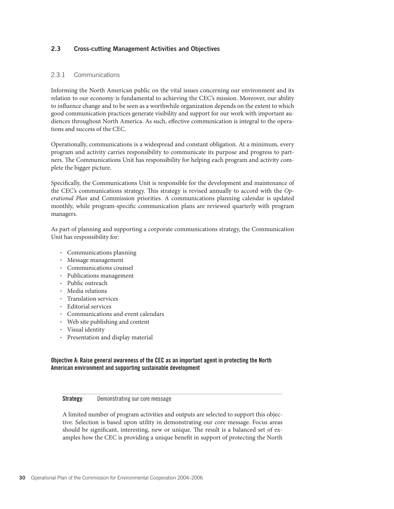## 2.3 Cross-cutting Management Activities and Objectives

## 2.3.1 Communications

Informing the North American public on the vital issues concerning our environment and its relation to our economy is fundamental to achieving the CEC's mission. Moreover, our ability to influence change and to be seen as a worthwhile organization depends on the extent to which good communication practices generate visibility and support for our work with important audiences throughout North America. As such, effective communication is integral to the operations and success of the CEC.

Operationally, communications is a widespread and constant obligation. At a minimum, every program and activity carries responsibility to communicate its purpose and progress to partners. The Communications Unit has responsibility for helping each program and activity complete the bigger picture.

Specifically, the Communications Unit is responsible for the development and maintenance of the CEC's communications strategy. This strategy is revised annually to accord with the *Operational Plan* and Commission priorities*.* A communications planning calendar is updated monthly, while program-specifi c communication plans are reviewed quarterly with program managers.

As part of planning and supporting a corporate communications strategy, the Communication Unit has responsibility for:

- Communications planning
- Message management
- Communications counsel
- Publications management
- Public outreach
- Media relations
- Translation services
- Editorial services
- Communications and event calendars
- Web site publishing and content
- Visual identity
- Presentation and display material

## Objective A: Raise general awareness of the CEC as an important agent in protecting the North American environment and supporting sustainable development

#### **Strategy:** Demonstrating our core message

A limited number of program activities and outputs are selected to support this objective. Selection is based upon utility in demonstrating our core message. Focus areas should be significant, interesting, new or unique. The result is a balanced set of examples how the CEC is providing a unique benefit in support of protecting the North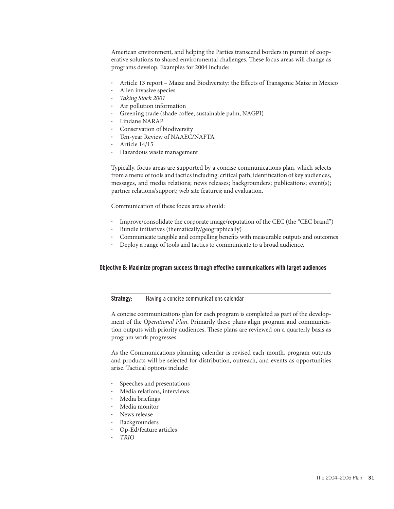American environment, and helping the Parties transcend borders in pursuit of cooperative solutions to shared environmental challenges. These focus areas will change as programs develop. Examples for 2004 include:

- Article 13 report Maize and Biodiversity: the Effects of Transgenic Maize in Mexico
- Alien invasive species
- *Taking Stock 2001*
- Air pollution information
- Greening trade (shade coffee, sustainable palm, NAGPI)
- Lindane NARAP
- Conservation of biodiversity
- Ten-year Review of NAAEC/NAFTA
- Article 14/15
- Hazardous waste management

Typically, focus areas are supported by a concise communications plan, which selects from a menu of tools and tactics including: critical path; identification of key audiences, messages, and media relations; news releases; backgrounders; publications; event(s); partner relations/support; web site features; and evaluation.

Communication of these focus areas should:

- Improve/consolidate the corporate image/reputation of the CEC (the "CEC brand")
- Bundle initiatives (thematically/geographically)
- Communicate tangible and compelling benefits with measurable outputs and outcomes
- Deploy a range of tools and tactics to communicate to a broad audience.

#### Objective B: Maximize program success through effective communications with target audiences

#### **Strategy:** Having a concise communications calendar

A concise communications plan for each program is completed as part of the development of the *Operational Plan*. Primarily these plans align program and communication outputs with priority audiences. These plans are reviewed on a quarterly basis as program work progresses.

As the Communications planning calendar is revised each month, program outputs and products will be selected for distribution, outreach, and events as opportunities arise. Tactical options include:

- Speeches and presentations
- Media relations, interviews
- Media briefings
- Media monitor
- News release
- Backgrounders
- Op-Ed/feature articles
- *TRIO*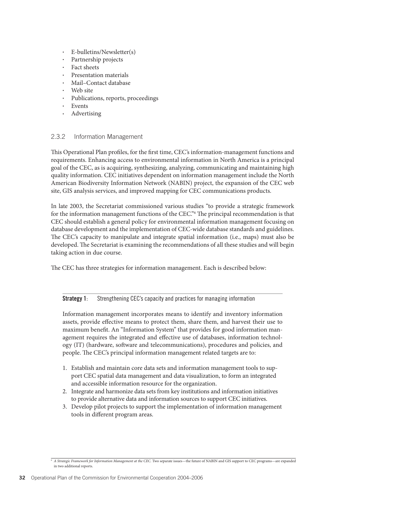- E-bulletins/Newsletter(s)
- Partnership projects
- Fact sheets
- Presentation materials
- Mail–Contact database
- Web site
- Publications, reports, proceedings
- **Events**
- Advertising

## 2.3.2 Information Management

This Operational Plan profiles, for the first time, CEC's information-management functions and requirements. Enhancing access to environmental information in North America is a principal goal of the CEC, as is acquiring, synthesizing, analyzing, communicating and maintaining high quality information. CEC initiatives dependent on information management include the North American Biodiversity Information Network (NABIN) project, the expansion of the CEC web site, GIS analysis services, and improved mapping for CEC communications products.

In late 2003, the Secretariat commissioned various studies "to provide a strategic framework for the information management functions of the CEC." The principal recommendation is that CEC should establish a general policy for environmental information management focusing on database development and the implementation of CEC-wide database standards and guidelines. The CEC's capacity to manipulate and integrate spatial information (i.e., maps) must also be developed. The Secretariat is examining the recommendations of all these studies and will begin taking action in due course.

The CEC has three strategies for information management. Each is described below:

## Strategy 1: Strengthening CEC's capacity and practices for managing information

Information management incorporates means to identify and inventory information assets, provide effective means to protect them, share them, and harvest their use to maximum benefit. An "Information System" that provides for good information management requires the integrated and effective use of databases, information technology (IT) (hardware, software and telecommunications), procedures and policies, and people. The CEC's principal information management related targets are to:

- 1. Establish and maintain core data sets and information management tools to support CEC spatial data management and data visualization, to form an integrated and accessible information resource for the organization.
- 2. Integrate and harmonize data sets from key institutions and information initiatives to provide alternative data and information sources to support CEC initiatives.
- 3. Develop pilot projects to support the implementation of information management tools in different program areas.

<sup>6</sup> *A Strategic Framework for Information Management at the CEC.* Two separate issues—the future of NABIN and GIS support to CEC programs—are expanded in two additional reports.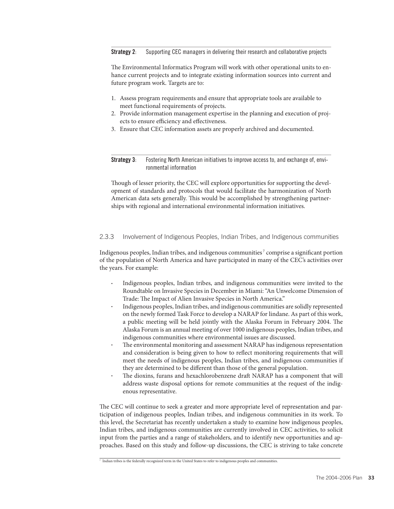#### **Strategy 2:** Supporting CEC managers in delivering their research and collaborative projects

The Environmental Informatics Program will work with other operational units to enhance current projects and to integrate existing information sources into current and future program work. Targets are to:

- 1. Assess program requirements and ensure that appropriate tools are available to meet functional requirements of projects.
- 2. Provide information management expertise in the planning and execution of projects to ensure efficiency and effectiveness.
- 3. Ensure that CEC information assets are properly archived and documented.

Strategy 3: Fostering North American initiatives to improve access to, and exchange of, environmental information

Though of lesser priority, the CEC will explore opportunities for supporting the development of standards and protocols that would facilitate the harmonization of North American data sets generally. This would be accomplished by strengthening partnerships with regional and international environmental information initiatives.

## 2.3.3 Involvement of Indigenous Peoples, Indian Tribes, and Indigenous communities

Indigenous peoples, Indian tribes, and indigenous communities<sup>7</sup> comprise a significant portion of the population of North America and have participated in many of the CEC's activities over the years. For example:

- Indigenous peoples, Indian tribes, and indigenous communities were invited to the Roundtable on Invasive Species in December in Miami: "An Unwelcome Dimension of Trade: The Impact of Alien Invasive Species in North America."
- Indigenous peoples, Indian tribes, and indigenous communities are solidly represented on the newly formed Task Force to develop a NARAP for lindane. As part of this work, a public meeting will be held jointly with the Alaska Forum in February 2004. The Alaska Forum is an annual meeting of over 1000 indigenous peoples, Indian tribes, and indigenous communities where environmental issues are discussed.
- The environmental monitoring and assessment NARAP has indigenous representation and consideration is being given to how to reflect monitoring requirements that will meet the needs of indigenous peoples, Indian tribes, and indigenous communities if they are determined to be different than those of the general population.
- The dioxins, furans and hexachlorobenzene draft NARAP has a component that will address waste disposal options for remote communities at the request of the indigenous representative.

The CEC will continue to seek a greater and more appropriate level of representation and participation of indigenous peoples, Indian tribes, and indigenous communities in its work. To this level, the Secretariat has recently undertaken a study to examine how indigenous peoples, Indian tribes, and indigenous communities are currently involved in CEC activities, to solicit input from the parties and a range of stakeholders, and to identify new opportunities and approaches. Based on this study and follow-up discussions, the CEC is striving to take concrete

<sup>7</sup> Indian tribes is the federally recognized term in the United States to refer to indigenous peoples and communities.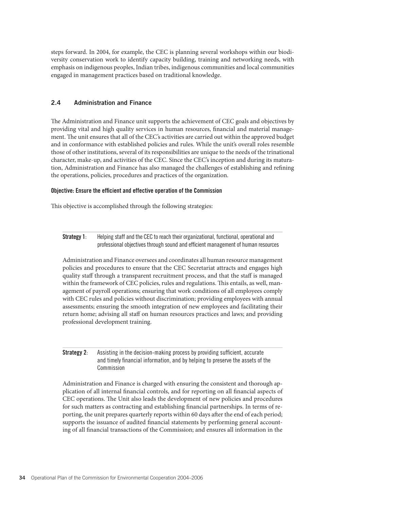steps forward. In 2004, for example, the CEC is planning several workshops within our biodiversity conservation work to identify capacity building, training and networking needs, with emphasis on indigenous peoples, Indian tribes, indigenous communities and local communities engaged in management practices based on traditional knowledge.

## 2.4 Administration and Finance

The Administration and Finance unit supports the achievement of CEC goals and objectives by providing vital and high quality services in human resources, financial and material management. The unit ensures that all of the CEC's activities are carried out within the approved budget and in conformance with established policies and rules. While the unit's overall roles resemble those of other institutions, several of its responsibilities are unique to the needs of the trinational character, make-up, and activities of the CEC. Since the CEC's inception and during its maturation, Administration and Finance has also managed the challenges of establishing and refining the operations, policies, procedures and practices of the organization.

#### Objective: Ensure the efficient and effective operation of the Commission

This objective is accomplished through the following strategies:

Strategy 1: Helping staff and the CEC to reach their organizational, functional, operational and professional objectives through sound and efficient management of human resources

Administration and Finance oversees and coordinates all human resource management policies and procedures to ensure that the CEC Secretariat attracts and engages high quality staff through a transparent recruitment process, and that the staff is managed within the framework of CEC policies, rules and regulations. This entails, as well, management of payroll operations; ensuring that work conditions of all employees comply with CEC rules and policies without discrimination; providing employees with annual assessments; ensuring the smooth integration of new employees and facilitating their return home; advising all staff on human resources practices and laws; and providing professional development training.

## **Strategy 2:** Assisting in the decision-making process by providing sufficient, accurate and timely financial information, and by helping to preserve the assets of the Commission

Administration and Finance is charged with ensuring the consistent and thorough application of all internal financial controls, and for reporting on all financial aspects of CEC operations. The Unit also leads the development of new policies and procedures for such matters as contracting and establishing financial partnerships. In terms of reporting, the unit prepares quarterly reports within 60 days after the end of each period; supports the issuance of audited financial statements by performing general accounting of all financial transactions of the Commission; and ensures all information in the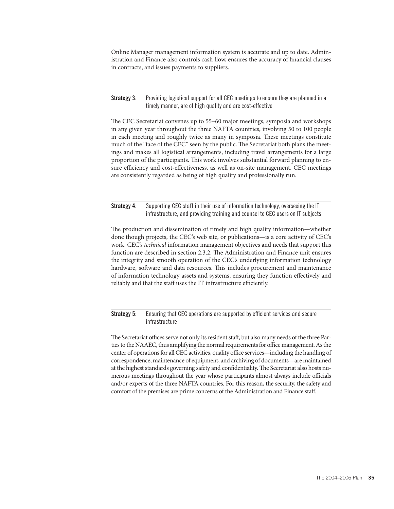Online Manager management information system is accurate and up to date. Administration and Finance also controls cash flow, ensures the accuracy of financial clauses in contracts, and issues payments to suppliers.

#### **Strategy 3:** Providing logistical support for all CEC meetings to ensure they are planned in a timely manner, are of high quality and are cost-effective

The CEC Secretariat convenes up to 55–60 major meetings, symposia and workshops in any given year throughout the three NAFTA countries, involving 50 to 100 people in each meeting and roughly twice as many in symposia. These meetings constitute much of the "face of the CEC" seen by the public. The Secretariat both plans the meetings and makes all logistical arrangements, including travel arrangements for a large proportion of the participants. This work involves substantial forward planning to ensure efficiency and cost-effectiveness, as well as on-site management. CEC meetings are consistently regarded as being of high quality and professionally run.

## Strategy 4: Supporting CEC staff in their use of information technology, overseeing the IT infrastructure, and providing training and counsel to CEC users on IT subjects

The production and dissemination of timely and high quality information—whether done though projects, the CEC's web site, or publications—is a core activity of CEC's work. CEC's *technical* information management objectives and needs that support this function are described in section 2.3.2. The Administration and Finance unit ensures the integrity and smooth operation of the CEC's underlying information technology hardware, software and data resources. This includes procurement and maintenance of information technology assets and systems, ensuring they function effectively and reliably and that the staff uses the IT infrastructure efficiently.

## **Strategy 5:** Ensuring that CEC operations are supported by efficient services and secure infrastructure

The Secretariat offices serve not only its resident staff, but also many needs of the three Parties to the NAAEC, thus amplifying the normal requirements for office management. As the center of operations for all CEC activities, quality office services—including the handling of correspondence, maintenance of equipment, and archiving of documents—are maintained at the highest standards governing safety and confidentiality. The Secretariat also hosts numerous meetings throughout the year whose participants almost always include officials and/or experts of the three NAFTA countries. For this reason, the security, the safety and comfort of the premises are prime concerns of the Administration and Finance staff.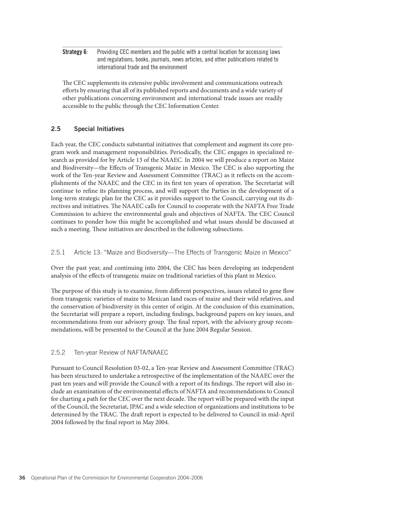**Strategy 6:** Providing CEC members and the public with a central location for accessing laws and regulations, books, journals, news articles, and other publications related to international trade and the environment

The CEC supplements its extensive public involvement and communications outreach efforts by ensuring that all of its published reports and documents and a wide variety of other publications concerning environment and international trade issues are readily accessible to the public through the CEC Information Center.

## 2.5 Special Initiatives

Each year, the CEC conducts substantial initiatives that complement and augment its core program work and management responsibilities. Periodically, the CEC engages in specialized research as provided for by Article 13 of the NAAEC. In 2004 we will produce a report on Maize and Biodiversity—the Effects of Transgenic Maize in Mexico. The CEC is also supporting the work of the Ten-year Review and Assessment Committee (TRAC) as it reflects on the accomplishments of the NAAEC and the CEC in its first ten years of operation. The Secretariat will continue to refine its planning process, and will support the Parties in the development of a long-term strategic plan for the CEC as it provides support to the Council, carrying out its directives and initiatives. The NAAEC calls for Council to cooperate with the NAFTA Free Trade Commission to achieve the environmental goals and objectives of NAFTA. The CEC Council continues to ponder how this might be accomplished and what issues should be discussed at such a meeting. These initiatives are described in the following subsections.

## 2.5.1 Article 13: "Maize and Biodiversity—The Effects of Transgenic Maize in Mexico"

Over the past year, and continuing into 2004, the CEC has been developing an independent analysis of the effects of transgenic maize on traditional varieties of this plant in Mexico.

The purpose of this study is to examine, from different perspectives, issues related to gene flow from transgenic varieties of maize to Mexican land races of maize and their wild relatives, and the conservation of biodiversity in this center of origin. At the conclusion of this examination, the Secretariat will prepare a report, including findings, background papers on key issues, and recommendations from our advisory group. The final report, with the advisory group recommendations, will be presented to the Council at the June 2004 Regular Session.

## 2.5.2 Ten-year Review of NAFTA/NAAEC

Pursuant to Council Resolution 03-02, a Ten-year Review and Assessment Committee (TRAC) has been structured to undertake a retrospective of the implementation of the NAAEC over the past ten years and will provide the Council with a report of its findings. The report will also include an examination of the environmental effects of NAFTA and recommendations to Council for charting a path for the CEC over the next decade. The report will be prepared with the input of the Council, the Secretariat, JPAC and a wide selection of organizations and institutions to be determined by the TRAC. The draft report is expected to be delivered to Council in mid-April 2004 followed by the final report in May 2004.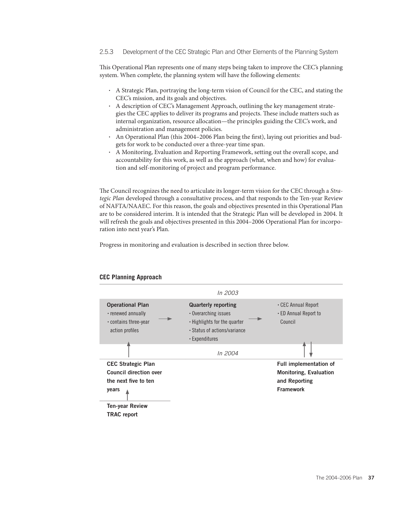#### 2.5.3 Development of the CEC Strategic Plan and Other Elements of the Planning System

This Operational Plan represents one of many steps being taken to improve the CEC's planning system. When complete, the planning system will have the following elements:

- A Strategic Plan, portraying the long-term vision of Council for the CEC, and stating the CEC's mission, and its goals and objectives.
- A description of CEC's Management Approach, outlining the key management strategies the CEC applies to deliver its programs and projects. These include matters such as internal organization, resource allocation—the principles guiding the CEC's work, and administration and management policies.
- An Operational Plan (this 2004–2006 Plan being the first), laying out priorities and budgets for work to be conducted over a three-year time span.
- A Monitoring, Evaluation and Reporting Framework, setting out the overall scope, and accountability for this work, as well as the approach (what, when and how) for evaluation and self-monitoring of project and program performance.

The Council recognizes the need to articulate its longer-term vision for the CEC through a *Strategic Plan* developed through a consultative process, and that responds to the Ten-year Review of NAFTA/NAAEC. For this reason, the goals and objectives presented in this Operational Plan are to be considered interim. It is intended that the Strategic Plan will be developed in 2004. It will refresh the goals and objectives presented in this 2004–2006 Operational Plan for incorporation into next year's Plan.

Progress in monitoring and evaluation is described in section three below.



## **CEC Planning Approach**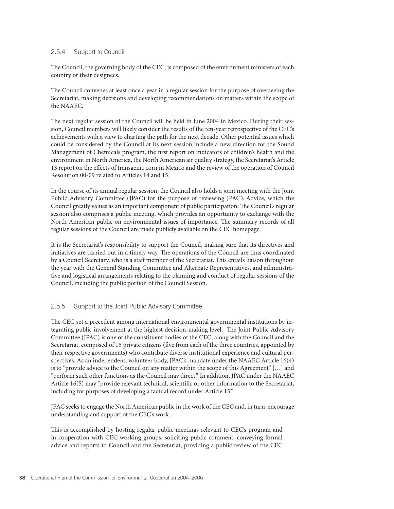## 2.5.4 Support to Council

The Council, the governing body of the CEC, is composed of the environment ministers of each country or their designees.

The Council convenes at least once a year in a regular session for the purpose of overseeing the Secretariat, making decisions and developing recommendations on matters within the scope of the NAAEC.

The next regular session of the Council will be held in June 2004 in Mexico. During their session, Council members will likely consider the results of the ten-year retrospective of the CEC's achievements with a view to charting the path for the next decade. Other potential issues which could be considered by the Council at its next session include a new direction for the Sound Management of Chemicals program, the first report on indicators of children's health and the environment in North America, the North American air quality strategy, the Secretariat's Article 13 report on the effects of transgenic corn in Mexico and the review of the operation of Council Resolution 00-09 related to Articles 14 and 15.

In the course of its annual regular session, the Council also holds a joint meeting with the Joint Public Advisory Committee (JPAC) for the purpose of reviewing JPAC's Advice, which the Council greatly values as an important component of public participation. The Council's regular session also comprises a public meeting, which provides an opportunity to exchange with the North American public on environmental issues of importance. The summary records of all regular sessions of the Council are made publicly available on the CEC homepage.

It is the Secretariat's responsibility to support the Council, making sure that its directives and initiatives are carried out in a timely way. The operations of the Council are thus coordinated by a Council Secretary, who is a staff member of the Secretariat. This entails liaison throughout the year with the General Standing Committee and Alternate Representatives, and administrative and logistical arrangements relating to the planning and conduct of regular sessions of the Council, including the public portion of the Council Session.

## 2.5.5 Support to the Joint Public Advisory Committee

The CEC set a precedent among international environmental governmental institutions by integrating public involvement at the highest decision-making level. The Joint Public Advisory Committee (JPAC) is one of the constituent bodies of the CEC, along with the Council and the Secretariat, composed of 15 private citizens (five from each of the three countries, appointed by their respective governments) who contribute diverse institutional experience and cultural perspectives. As an independent, volunteer body, JPAC's mandate under the NAAEC Article 16(4) is to "provide advice to the Council on any matter within the scope of this Agreement" […] and "perform such other functions as the Council may direct." In addition, JPAC under the NAAEC Article 16(5) may "provide relevant technical, scientific or other information to the Secretariat, including for purposes of developing a factual record under Article 15."

JPAC seeks to engage the North American public in the work of the CEC and, in turn, encourage understanding and support of the CEC's work.

This is accomplished by hosting regular public meetings relevant to CEC's program and in cooperation with CEC working groups, soliciting public comment, conveying formal advice and reports to Council and the Secretariat, providing a public review of the CEC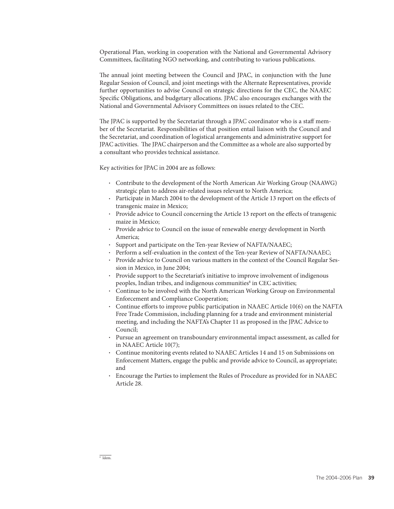Operational Plan, working in cooperation with the National and Governmental Advisory Committees, facilitating NGO networking, and contributing to various publications.

The annual joint meeting between the Council and JPAC, in conjunction with the June Regular Session of Council, and joint meetings with the Alternate Representatives, provide further opportunities to advise Council on strategic directions for the CEC, the NAAEC Specific Obligations, and budgetary allocations. JPAC also encourages exchanges with the National and Governmental Advisory Committees on issues related to the CEC.

The JPAC is supported by the Secretariat through a JPAC coordinator who is a staff member of the Secretariat. Responsibilities of that position entail liaison with the Council and the Secretariat, and coordination of logistical arrangements and administrative support for JPAC activities. The JPAC chairperson and the Committee as a whole are also supported by a consultant who provides technical assistance.

Key activities for JPAC in 2004 are as follows:

- Contribute to the development of the North American Air Working Group (NAAWG) strategic plan to address air-related issues relevant to North America;
- Participate in March 2004 to the development of the Article 13 report on the effects of transgenic maize in Mexico;
- Provide advice to Council concerning the Article 13 report on the effects of transgenic maize in Mexico;
- Provide advice to Council on the issue of renewable energy development in North America;
- Support and participate on the Ten-year Review of NAFTA/NAAEC;
- Perform a self-evaluation in the context of the Ten-year Review of NAFTA/NAAEC;
- Provide advice to Council on various matters in the context of the Council Regular Session in Mexico, in June 2004;
- Provide support to the Secretariat's initiative to improve involvement of indigenous peoples, Indian tribes, and indigenous communities<sup>8</sup> in CEC activities;
- Continue to be involved with the North American Working Group on Environmental Enforcement and Compliance Cooperation;
- Continue efforts to improve public participation in NAAEC Article  $10(6)$  on the NAFTA Free Trade Commission, including planning for a trade and environment ministerial meeting, and including the NAFTA's Chapter 11 as proposed in the JPAC Advice to Council;
- Pursue an agreement on transboundary environmental impact assessment, as called for in NAAEC Article 10(7);
- Continue monitoring events related to NAAEC Articles 14 and 15 on Submissions on Enforcement Matters, engage the public and provide advice to Council, as appropriate; and
- Encourage the Parties to implement the Rules of Procedure as provided for in NAAEC Article 28.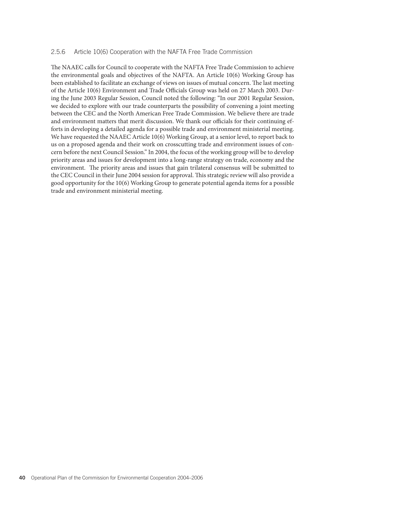#### 2.5.6 Article 10(6) Cooperation with the NAFTA Free Trade Commission

The NAAEC calls for Council to cooperate with the NAFTA Free Trade Commission to achieve the environmental goals and objectives of the NAFTA. An Article 10(6) Working Group has been established to facilitate an exchange of views on issues of mutual concern. The last meeting of the Article 10(6) Environment and Trade Officials Group was held on 27 March 2003. During the June 2003 Regular Session, Council noted the following: "In our 2001 Regular Session, we decided to explore with our trade counterparts the possibility of convening a joint meeting between the CEC and the North American Free Trade Commission. We believe there are trade and environment matters that merit discussion. We thank our officials for their continuing efforts in developing a detailed agenda for a possible trade and environment ministerial meeting. We have requested the NAAEC Article 10(6) Working Group, at a senior level, to report back to us on a proposed agenda and their work on crosscutting trade and environment issues of concern before the next Council Session." In 2004, the focus of the working group will be to develop priority areas and issues for development into a long-range strategy on trade, economy and the environment. The priority areas and issues that gain trilateral consensus will be submitted to the CEC Council in their June 2004 session for approval. This strategic review will also provide a good opportunity for the 10(6) Working Group to generate potential agenda items for a possible trade and environment ministerial meeting.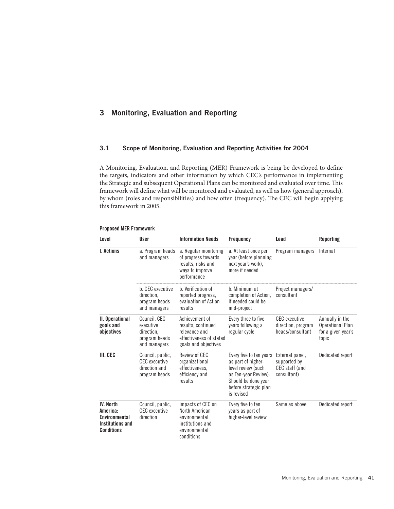# 3 Monitoring, Evaluation and Reporting

## 3.1 Scope of Monitoring, Evaluation and Reporting Activities for 2004

A Monitoring, Evaluation, and Reporting (MER) Framework is being be developed to define the targets, indicators and other information by which CEC's performance in implementing the Strategic and subsequent Operational Plans can be monitored and evaluated over time. This framework will define what will be monitored and evaluated, as well as how (general approach), by whom (roles and responsibilities) and how often (frequency). The CEC will begin applying this framework in 2005.

| Level                                                                                         | User                                                                     | <b>Information Needs</b>                                                                                 | <b>Frequency</b>                                                                                                                                          | Lead                                                             | <b>Reporting</b>                                                          |
|-----------------------------------------------------------------------------------------------|--------------------------------------------------------------------------|----------------------------------------------------------------------------------------------------------|-----------------------------------------------------------------------------------------------------------------------------------------------------------|------------------------------------------------------------------|---------------------------------------------------------------------------|
| <b>I.</b> Actions                                                                             | a. Program heads<br>and managers                                         | a. Regular monitoring<br>of progress towards<br>results, risks and<br>ways to improve<br>performance     | a. At least once per<br>year (before planning<br>next year's work).<br>more if needed                                                                     | Program managers                                                 | Internal                                                                  |
|                                                                                               | b. CEC executive<br>direction.<br>program heads<br>and managers          | b. Verification of<br>reported progress,<br>evaluation of Action<br>results                              | b. Minimum at<br>completion of Action,<br>if needed could be<br>mid-project                                                                               | Project managers/<br>consultant                                  |                                                                           |
| II. Operational<br>goals and<br>objectives                                                    | Council, CEC<br>executive<br>direction.<br>program heads<br>and managers | Achievement of<br>results, continued<br>relevance and<br>effectiveness of stated<br>goals and objectives | Every three to five<br>years following a<br>regular cycle                                                                                                 | <b>CEC</b> executive<br>direction, program<br>heads/consultant   | Annually in the<br><b>Operational Plan</b><br>for a given year's<br>topic |
| III. CEC                                                                                      | Council, public,<br>CFC executive<br>direction and<br>program heads      | Review of CEC<br>organizational<br>effectiveness,<br>efficiency and<br>results                           | Every five to ten years<br>as part of higher-<br>level review (such<br>as Ten-year Review).<br>Should be done year<br>before strategic plan<br>is revised | External panel,<br>supported by<br>CEC staff (and<br>consultant) | Dedicated report                                                          |
| <b>IV. North</b><br>America:<br>Environmental<br><b>Institutions and</b><br><b>Conditions</b> | Council, public,<br><b>CEC</b> executive<br>direction                    | Impacts of CEC on<br>North American<br>environmental<br>institutions and<br>environmental<br>conditions  | Every five to ten<br>years as part of<br>higher-level review                                                                                              | Same as above                                                    | Dedicated report                                                          |

## Proposed MER Framework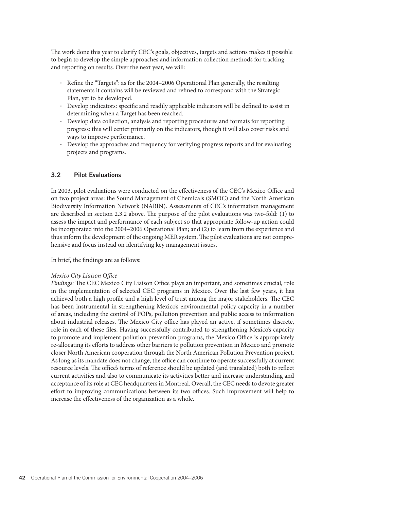The work done this year to clarify CEC's goals, objectives, targets and actions makes it possible to begin to develop the simple approaches and information collection methods for tracking and reporting on results. Over the next year, we will:

- Refine the "Targets": as for the  $2004-2006$  Operational Plan generally, the resulting statements it contains will be reviewed and refined to correspond with the Strategic Plan, yet to be developed.
- Develop indicators: specific and readily applicable indicators will be defined to assist in determining when a Target has been reached.
- Develop data collection, analysis and reporting procedures and formats for reporting progress: this will center primarily on the indicators, though it will also cover risks and ways to improve performance.
- Develop the approaches and frequency for verifying progress reports and for evaluating projects and programs.

## 3.2 Pilot Evaluations

In 2003, pilot evaluations were conducted on the effectiveness of the CEC's Mexico Office and on two project areas: the Sound Management of Chemicals (SMOC) and the North American Biodiversity Information Network (NABIN). Assessments of CEC's information management are described in section 2.3.2 above. The purpose of the pilot evaluations was two-fold: (1) to assess the impact and performance of each subject so that appropriate follow-up action could be incorporated into the 2004–2006 Operational Plan; and (2) to learn from the experience and thus inform the development of the ongoing MER system. The pilot evaluations are not comprehensive and focus instead on identifying key management issues.

In brief, the findings are as follows:

## *Mexico City Liaison Office*

*Findings:* The CEC Mexico City Liaison Office plays an important, and sometimes crucial, role in the implementation of selected CEC programs in Mexico. Over the last few years, it has achieved both a high profile and a high level of trust among the major stakeholders. The CEC has been instrumental in strengthening Mexico's environmental policy capacity in a number of areas, including the control of POPs, pollution prevention and public access to information about industrial releases. The Mexico City office has played an active, if sometimes discrete, role in each of these files. Having successfully contributed to strengthening Mexico's capacity to promote and implement pollution prevention programs, the Mexico Office is appropriately re-allocating its efforts to address other barriers to pollution prevention in Mexico and promote closer North American cooperation through the North American Pollution Prevention project. As long as its mandate does not change, the office can continue to operate successfully at current resource levels. The office's terms of reference should be updated (and translated) both to reflect current activities and also to communicate its activities better and increase understanding and acceptance of its role at CEC headquarters in Montreal. Overall, the CEC needs to devote greater effort to improving communications between its two offices. Such improvement will help to increase the effectiveness of the organization as a whole.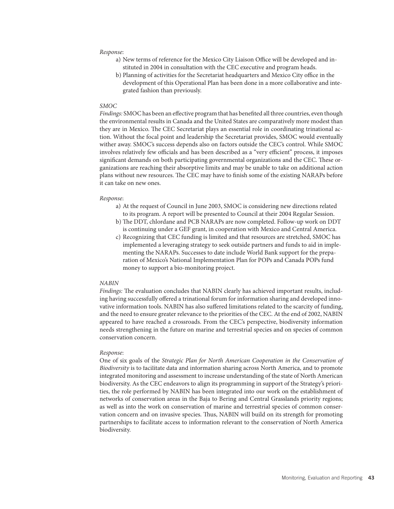#### *Response*:

- a) New terms of reference for the Mexico City Liaison Office will be developed and instituted in 2004 in consultation with the CEC executive and program heads.
- b) Planning of activities for the Secretariat headquarters and Mexico City office in the development of this Operational Plan has been done in a more collaborative and integrated fashion than previously.

#### *SMOC*

Findings: SMOC has been an effective program that has benefited all three countries, even though the environmental results in Canada and the United States are comparatively more modest than they are in Mexico. The CEC Secretariat plays an essential role in coordinating trinational action. Without the focal point and leadership the Secretariat provides, SMOC would eventually wither away. SMOC's success depends also on factors outside the CEC's control. While SMOC involves relatively few officials and has been described as a "very efficient" process, it imposes significant demands on both participating governmental organizations and the CEC. These organizations are reaching their absorptive limits and may be unable to take on additional action plans without new resources. The CEC may have to finish some of the existing NARAPs before it can take on new ones.

#### *Response*:

- a) At the request of Council in June 2003, SMOC is considering new directions related to its program. A report will be presented to Council at their 2004 Regular Session.
- b) The DDT, chlordane and PCB NARAPs are now completed. Follow-up work on DDT is continuing under a GEF grant, in cooperation with Mexico and Central America.
- c) Recognizing that CEC funding is limited and that resources are stretched, SMOC has implemented a leveraging strategy to seek outside partners and funds to aid in implementing the NARAPs. Successes to date include World Bank support for the preparation of Mexico's National Implementation Plan for POPs and Canada POPs fund money to support a bio-monitoring project.

#### *NABIN*

Findings: The evaluation concludes that NABIN clearly has achieved important results, including having successfully offered a trinational forum for information sharing and developed innovative information tools. NABIN has also suffered limitations related to the scarcity of funding, and the need to ensure greater relevance to the priorities of the CEC. At the end of 2002, NABIN appeared to have reached a crossroads. From the CEC's perspective, biodiversity information needs strengthening in the future on marine and terrestrial species and on species of common conservation concern.

#### *Response*:

One of six goals of the *Strategic Plan for North American Cooperation in the Conservation of Biodiversity* is to facilitate data and information sharing across North America, and to promote integrated monitoring and assessment to increase understanding of the state of North American biodiversity. As the CEC endeavors to align its programming in support of the Strategy's priorities, the role performed by NABIN has been integrated into our work on the establishment of networks of conservation areas in the Baja to Bering and Central Grasslands priority regions; as well as into the work on conservation of marine and terrestrial species of common conservation concern and on invasive species. Thus, NABIN will build on its strength for promoting partnerships to facilitate access to information relevant to the conservation of North America biodiversity.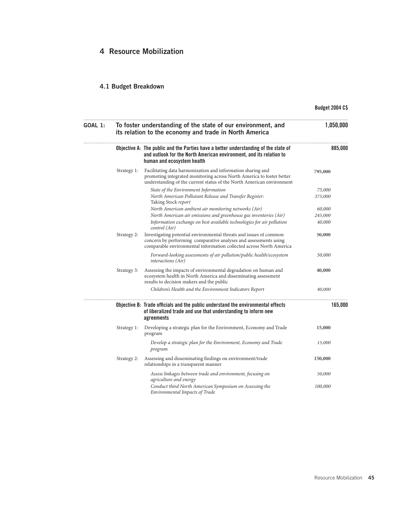# 4 Resource Mobilization

# 4.1 Budget Breakdown

# Budget 2004 C\$

| GOAL 1: | To foster understanding of the state of our environment, and<br>its relation to the economy and trade in North America | 1,050,000                                                                                                                                                                                                     |         |
|---------|------------------------------------------------------------------------------------------------------------------------|---------------------------------------------------------------------------------------------------------------------------------------------------------------------------------------------------------------|---------|
|         |                                                                                                                        | Objective A: The public and the Parties have a better understanding of the state of<br>and outlook for the North American environment, and its relation to<br>human and ecosystem health                      | 885,000 |
|         | Strategy 1:                                                                                                            | Facilitating data harmonization and information sharing and<br>promoting integrated monitoring across North America to foster better<br>understanding of the current status of the North American environment | 795,000 |
|         |                                                                                                                        | State of the Environment Information                                                                                                                                                                          | 75,000  |
|         |                                                                                                                        | North American Pollutant Release and Transfer Register:<br>Taking Stock report                                                                                                                                | 375,000 |
|         |                                                                                                                        | North American ambient air monitoring networks (Air)                                                                                                                                                          | 60,000  |
|         |                                                                                                                        | North American air emissions and greenhouse gas inventories (Air)                                                                                                                                             | 245,000 |
|         |                                                                                                                        | Information exchange on best available technologies for air pollution<br>control (Air)                                                                                                                        | 40,000  |
|         | Strategy 2:                                                                                                            | Investigating potential environmental threats and issues of common<br>concern by performing comparative analyses and assessments using<br>comparable environmental information collected across North America | 50,000  |
|         |                                                                                                                        | Forward-looking assessments of air pollution/public health/ecosystem<br><i>interactions</i> (Air)                                                                                                             | 50,000  |
|         | Strategy 3:                                                                                                            | Assessing the impacts of environmental degradation on human and<br>ecosystem health in North America and disseminating assessment<br>results to decision makers and the public                                | 40,000  |
|         |                                                                                                                        | Children's Health and the Environment Indicators Report                                                                                                                                                       | 40,000  |
|         |                                                                                                                        | Objective B: Trade officials and the public understand the environmental effects<br>of liberalized trade and use that understanding to inform new<br>agreements                                               | 165,000 |
|         | Strategy 1:                                                                                                            | Developing a strategic plan for the Environment, Economy and Trade<br>program                                                                                                                                 | 15,000  |
|         |                                                                                                                        | Develop a strategic plan for the Environment, Economy and Trade<br>program                                                                                                                                    | 15,000  |
|         | Strategy 2:                                                                                                            | Assessing and disseminating findings on environment/trade<br>relationships in a transparent manner                                                                                                            | 150,000 |
|         |                                                                                                                        | Assess linkages between trade and environment, focusing on<br>agriculture and energy                                                                                                                          | 50,000  |
|         |                                                                                                                        | Conduct third North American Symposium on Assessing the<br><b>Environmental Impacts of Trade</b>                                                                                                              | 100,000 |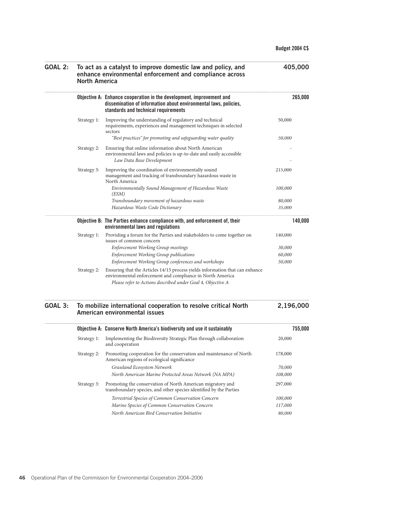297,000

| <b>GOAL 2:</b> | To act as a catalyst to improve domestic law and policy, and<br>enhance environmental enforcement and compliance across<br>North America | 405,000                                                                                                                                                                                                  |                  |
|----------------|------------------------------------------------------------------------------------------------------------------------------------------|----------------------------------------------------------------------------------------------------------------------------------------------------------------------------------------------------------|------------------|
|                |                                                                                                                                          | Objective A: Enhance cooperation in the development, improvement and<br>dissemination of information about environmental laws, policies,<br>standards and technical requirements                         | 265,000          |
|                | Strategy 1:                                                                                                                              | Improving the understanding of regulatory and technical<br>requirements, experiences and management techniques in selected<br>sectors<br>"Best practices" for promoting and safeguarding water quality   | 50,000<br>50,000 |
|                | Strategy 2:                                                                                                                              | Ensuring that online information about North American<br>environmental laws and policies is up-to-date and easily accessible<br>Law Data Base Development                                                |                  |
|                | Strategy 3:                                                                                                                              | Improving the coordination of environmentally sound<br>management and tracking of transboundary hazardous waste in<br>North America                                                                      | 215,000          |
|                |                                                                                                                                          | Environmentally Sound Management of Hazardous Waste<br>(ESM)                                                                                                                                             | 100,000          |
|                |                                                                                                                                          | Transboundary movement of hazardous waste                                                                                                                                                                | 80,000           |
|                |                                                                                                                                          | Hazardous Waste Code Dictionary                                                                                                                                                                          | 35,000           |
|                |                                                                                                                                          | Objective B: The Parties enhance compliance with, and enforcement of, their<br>environmental laws and regulations                                                                                        | 140,000          |
|                | Strategy 1:                                                                                                                              | Providing a forum for the Parties and stakeholders to come together on<br>issues of common concern                                                                                                       | 140,000          |
|                |                                                                                                                                          | Enforcement Working Group meetings                                                                                                                                                                       | 30,000           |
|                |                                                                                                                                          | <b>Enforcement Working Group publications</b>                                                                                                                                                            | 60,000           |
|                |                                                                                                                                          | Enforcement Working Group conferences and workshops                                                                                                                                                      | 50,000           |
|                | Strategy 2:                                                                                                                              | Ensuring that the Articles 14/15 process yields information that can enhance<br>environmental enforcement and compliance in North America<br>Please refer to Actions described under Goal 4, Objective A |                  |
| GOAL 3:        |                                                                                                                                          | To mobilize international cooperation to resolve critical North<br>American environmental issues                                                                                                         | 2,196,000        |
|                |                                                                                                                                          | Objective A: Conserve North America's biodiversity and use it sustainably                                                                                                                                | 755,000          |
|                | Strategy 1:                                                                                                                              | Implementing the Biodiversity Strategic Plan through collaboration<br>and cooperation                                                                                                                    | 20,000           |
|                | Strategy 2:                                                                                                                              | Promoting cooperation for the conservation and maintenance of North<br>American regions of ecological significance                                                                                       | 178,000          |
|                |                                                                                                                                          | Grassland Ecosystem Network                                                                                                                                                                              | 70,000           |
|                |                                                                                                                                          | North American Marine Protected Areas Network (NA MPA)                                                                                                                                                   | 108,000          |

Strategy 3: Promoting the conservation of North American migratory and

transboundary species, and other species identified by the Parties

*Terrestrial Species of Common Conservation Concern 100,000 Marine Species of Common Conservation Concern 117,000 North American Bird Conservation Initiative 80,000*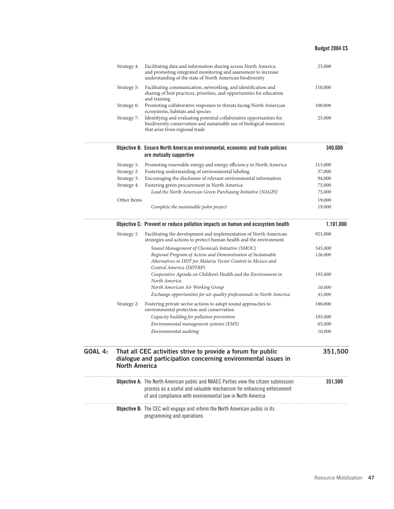## Budget 2004 C\$

|         | Strategy 4:          | Facilitating data and information sharing across North America<br>and promoting integrated monitoring and assessment to increase<br>understanding of the state of North American biodiversity                                    | 25,000    |
|---------|----------------------|----------------------------------------------------------------------------------------------------------------------------------------------------------------------------------------------------------------------------------|-----------|
|         | Strategy 5:          | Facilitating communication, networking, and identification and<br>sharing of best practices, priorities, and opportunities for education<br>and training                                                                         | 110,000   |
|         | Strategy 6:          | Promoting collaborative responses to threats facing North American<br>ecosystems, habitats and species                                                                                                                           | 100,000   |
|         | Strategy 7:          | Identifying and evaluating potential collaborative opportunities for<br>biodiversity conservation and sustainable use of biological resources<br>that arise from regional trade                                                  | 25,000    |
|         |                      | Objective B: Ensure North American environmental, economic and trade policies<br>are mutually supportive                                                                                                                         | 340,000   |
|         | Strategy 1:          | Promoting renewable energy and energy efficiency in North America                                                                                                                                                                | 115,000   |
|         | Strategy 2:          | Fostering understanding of environmental labeling                                                                                                                                                                                | 37,000    |
|         | Strategy 3:          | Encouraging the disclosure of relevant environmental information                                                                                                                                                                 | 94,000    |
|         | Strategy 4:          | Fostering green procurement in North America                                                                                                                                                                                     | 75,000    |
|         |                      | Lead the North American Green Purchasing Initiative (NAGPI)                                                                                                                                                                      | 75,000    |
|         | Other Items          |                                                                                                                                                                                                                                  | 19,000    |
|         |                      | Complete the sustainable palm project                                                                                                                                                                                            | 19,000    |
|         |                      | Objective C: Prevent or reduce pollution impacts on human and ecosystem health                                                                                                                                                   | 1,101,000 |
|         | Strategy 1:          | Facilitating the development and implementation of North American<br>strategies and actions to protect human health and the environment                                                                                          | 921,000   |
|         |                      | Sound Management of Chemicals Initiative (SMOC)                                                                                                                                                                                  | 545,000   |
|         |                      | Regional Program of Action and Demonstration of Sustainable<br>Alternatives to DDT for Malaria Vector Control in Mexico and<br>Central America (DDTRP)                                                                           | 126,000   |
|         |                      | Cooperative Agenda on Children's Health and the Environment in<br>North America                                                                                                                                                  | 195,000   |
|         |                      | North American Air Working Group                                                                                                                                                                                                 | 10,000    |
|         |                      | Exchange opportunities for air quality professionals in North America                                                                                                                                                            | 45,000    |
|         | Strategy 2:          | Fostering private sector actions to adopt sound approaches to<br>environmental protection and conservation                                                                                                                       | 180,000   |
|         |                      | Capacity building for pollution prevention                                                                                                                                                                                       | 105,000   |
|         |                      | Environmental management systems (EMS)                                                                                                                                                                                           | 65,000    |
|         |                      | Environmental auditing                                                                                                                                                                                                           | 10,000    |
| GOAL 4: | <b>North America</b> | That all CEC activities strive to provide a forum for public<br>dialogue and participation concerning environmental issues in                                                                                                    | 351,500   |
|         |                      | <b>Objective A:</b> The North American public and NAAEC Parties view the citizen submission<br>process as a useful and valuable mechanism for enhancing enforcement<br>of and compliance with environmental law in North America | 351,500   |
|         |                      | <b>Objective B:</b> The CEC will engage and inform the North American public in its<br>programming and operations                                                                                                                |           |